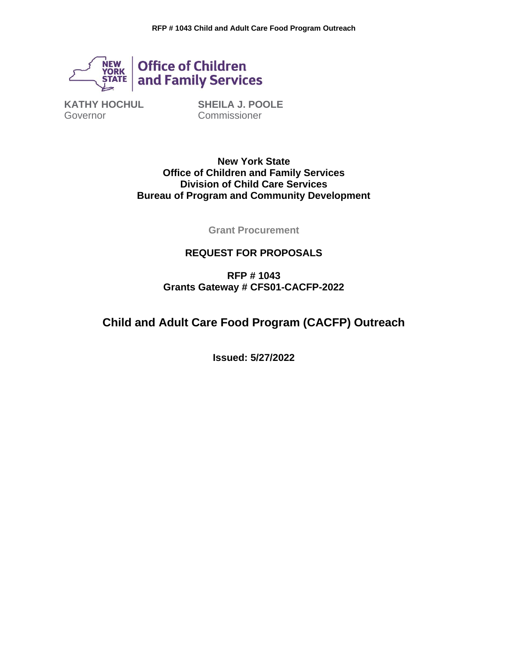

**KATHY HOCHUL** Governor

**SHEILA J. POOLE Commissioner** 

**New York State Office of Children and Family Services Division of Child Care Services Bureau of Program and Community Development**

**Grant Procurement**

### **REQUEST FOR PROPOSALS**

**RFP # 1043 Grants Gateway # CFS01-CACFP-2022**

# **Child and Adult Care Food Program (CACFP) Outreach**

**Issued: 5/27/2022**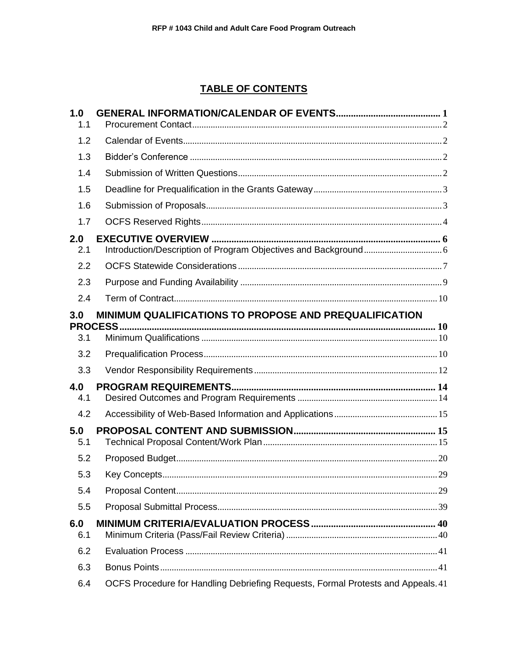# **TABLE OF CONTENTS**

| 1.0<br>1.1 |                                                                                  |  |
|------------|----------------------------------------------------------------------------------|--|
| 1.2        |                                                                                  |  |
| 1.3        |                                                                                  |  |
| 1.4        |                                                                                  |  |
| 1.5        |                                                                                  |  |
| 1.6        |                                                                                  |  |
| 1.7        |                                                                                  |  |
| 2.0<br>2.1 |                                                                                  |  |
| 2.2        |                                                                                  |  |
| 2.3        |                                                                                  |  |
| 2.4        |                                                                                  |  |
| 3.0        | MINIMUM QUALIFICATIONS TO PROPOSE AND PREQUALIFICATION                           |  |
| 3.1        |                                                                                  |  |
| 3.2        |                                                                                  |  |
| 3.3        |                                                                                  |  |
| 4.0<br>4.1 |                                                                                  |  |
| 4.2        |                                                                                  |  |
| 5.0<br>5.1 |                                                                                  |  |
| 5.2        |                                                                                  |  |
| 5.3        |                                                                                  |  |
| 5.4        |                                                                                  |  |
| 5.5        |                                                                                  |  |
| 6.0<br>6.1 |                                                                                  |  |
| 6.2        |                                                                                  |  |
| 6.3        |                                                                                  |  |
| 6.4        | OCFS Procedure for Handling Debriefing Requests, Formal Protests and Appeals. 41 |  |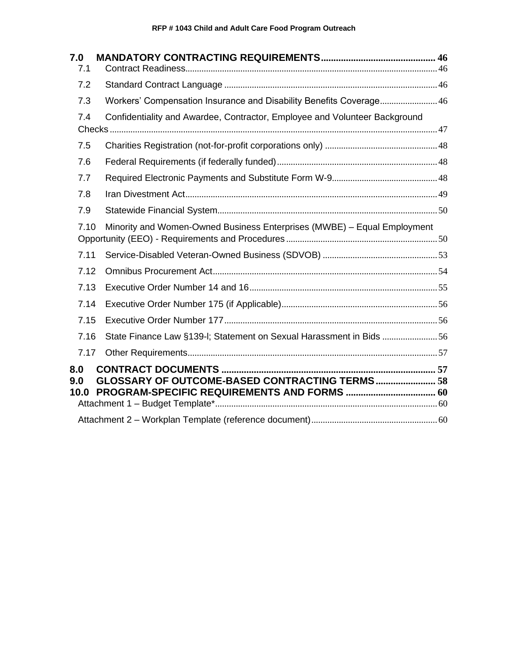| 7.0                |                                                                            |  |
|--------------------|----------------------------------------------------------------------------|--|
| 7.1                |                                                                            |  |
| 7.2                |                                                                            |  |
| 7.3                | Workers' Compensation Insurance and Disability Benefits Coverage 46        |  |
| 7.4                | Confidentiality and Awardee, Contractor, Employee and Volunteer Background |  |
| 7.5                |                                                                            |  |
| 7.6                |                                                                            |  |
| 7.7                |                                                                            |  |
| 7.8                |                                                                            |  |
| 7.9                |                                                                            |  |
| 7.10               | Minority and Women-Owned Business Enterprises (MWBE) - Equal Employment    |  |
| 7.11               |                                                                            |  |
| 7.12               |                                                                            |  |
| 7.13               |                                                                            |  |
| 7.14               |                                                                            |  |
| 7.15               |                                                                            |  |
| 7.16               | State Finance Law §139-I; Statement on Sexual Harassment in Bids 56        |  |
| 7.17               |                                                                            |  |
| 8.0<br>9.0<br>10.0 | GLOSSARY OF OUTCOME-BASED CONTRACTING TERMS 58                             |  |
|                    |                                                                            |  |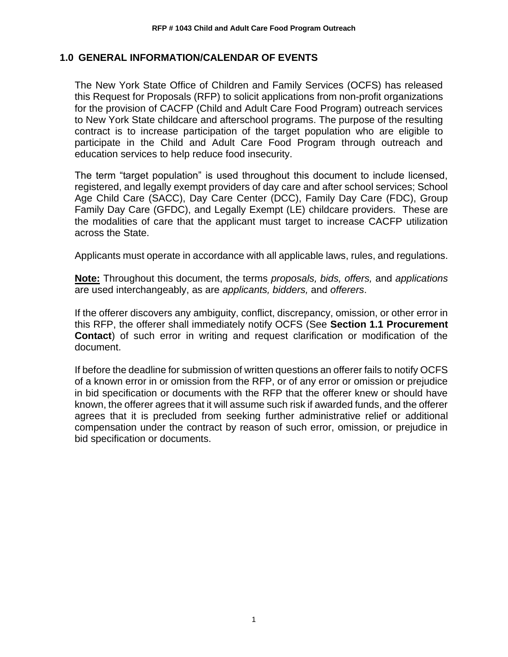#### <span id="page-3-0"></span>**1.0 GENERAL INFORMATION/CALENDAR OF EVENTS**

The New York State Office of Children and Family Services (OCFS) has released this Request for Proposals (RFP) to solicit applications from non-profit organizations for the provision of CACFP (Child and Adult Care Food Program) outreach services to New York State childcare and afterschool programs. The purpose of the resulting contract is to increase participation of the target population who are eligible to participate in the Child and Adult Care Food Program through outreach and education services to help reduce food insecurity.

The term "target population" is used throughout this document to include licensed, registered, and legally exempt providers of day care and after school services; School Age Child Care (SACC), Day Care Center (DCC), Family Day Care (FDC), Group Family Day Care (GFDC), and Legally Exempt (LE) childcare providers. These are the modalities of care that the applicant must target to increase CACFP utilization across the State.

Applicants must operate in accordance with all applicable laws, rules, and regulations.

**Note:** Throughout this document, the terms *proposals, bids, offers,* and *applications*  are used interchangeably, as are *applicants, bidders,* and *offerers*.

If the offerer discovers any ambiguity, conflict, discrepancy, omission, or other error in this RFP, the offerer shall immediately notify OCFS (See **Section 1.1 Procurement Contact**) of such error in writing and request clarification or modification of the document.

If before the deadline for submission of written questions an offerer fails to notify OCFS of a known error in or omission from the RFP, or of any error or omission or prejudice in bid specification or documents with the RFP that the offerer knew or should have known, the offerer agrees that it will assume such risk if awarded funds, and the offerer agrees that it is precluded from seeking further administrative relief or additional compensation under the contract by reason of such error, omission, or prejudice in bid specification or documents.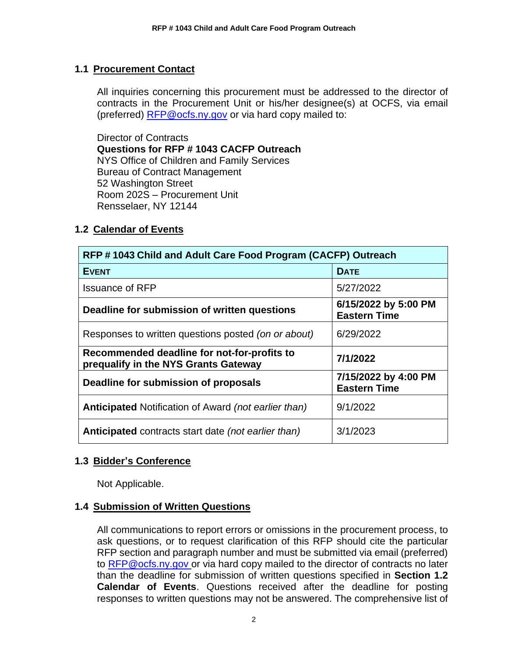### <span id="page-4-0"></span>**1.1 Procurement Contact**

All inquiries concerning this procurement must be addressed to the director of contracts in the Procurement Unit or his/her designee(s) at OCFS, via email (preferred) [RFP@ocfs.ny.gov](mailto:RFP@ocfs.ny.gov) or via hard copy mailed to:

Director of Contracts **Questions for RFP # 1043 CACFP Outreach** NYS Office of Children and Family Services Bureau of Contract Management 52 Washington Street Room 202S – Procurement Unit Rensselaer, NY 12144

### <span id="page-4-1"></span>**1.2 Calendar of Events**

| RFP #1043 Child and Adult Care Food Program (CACFP) Outreach                        |                                             |  |
|-------------------------------------------------------------------------------------|---------------------------------------------|--|
| <b>EVENT</b>                                                                        | <b>DATE</b>                                 |  |
| <b>Issuance of RFP</b>                                                              | 5/27/2022                                   |  |
| Deadline for submission of written questions                                        | 6/15/2022 by 5:00 PM<br><b>Eastern Time</b> |  |
| Responses to written questions posted (on or about)                                 | 6/29/2022                                   |  |
| Recommended deadline for not-for-profits to<br>prequalify in the NYS Grants Gateway | 7/1/2022                                    |  |
| Deadline for submission of proposals                                                | 7/15/2022 by 4:00 PM<br><b>Eastern Time</b> |  |
| <b>Anticipated Notification of Award (not earlier than)</b>                         | 9/1/2022                                    |  |
| Anticipated contracts start date (not earlier than)                                 | 3/1/2023                                    |  |

### <span id="page-4-2"></span>**1.3 Bidder's Conference**

Not Applicable.

### <span id="page-4-3"></span>**1.4 Submission of Written Questions**

All communications to report errors or omissions in the procurement process, to ask questions, or to request clarification of this RFP should cite the particular RFP section and paragraph number and must be submitted via email (preferred) to [RFP@ocfs.ny.gov](mailto:RFP@ocfs.ny.gov) or via hard copy mailed to the director of contracts no later than the deadline for submission of written questions specified in **Section 1.2 Calendar of Events**. Questions received after the deadline for posting responses to written questions may not be answered. The comprehensive list of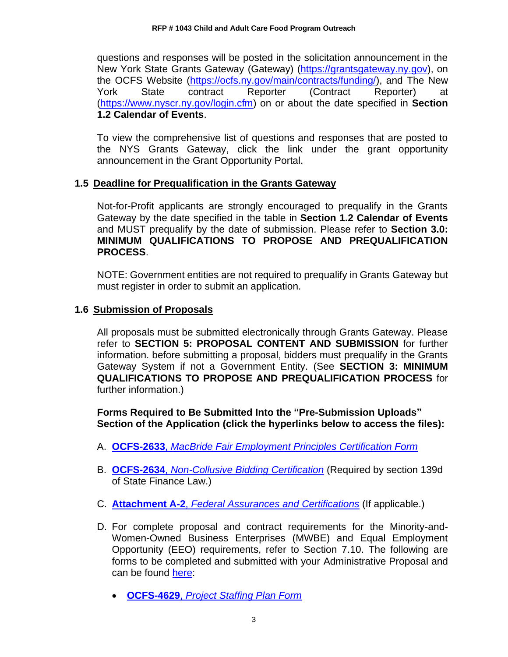questions and responses will be posted in the solicitation announcement in the New York State Grants Gateway (Gateway) [\(https://grantsgateway.ny.gov\)](https://grantsgateway.ny.gov/), on the OCFS Website [\(https://ocfs.ny.gov/main/contracts/funding/\)](https://ocfs.ny.gov/main/contracts/funding/), and The New York State contract Reporter (Contract Reporter) at [\(https://www.nyscr.ny.gov/login.cfm\)](https://www.nyscr.ny.gov/login.cfm) on or about the date specified in **Section 1.2 Calendar of Events**.

To view the comprehensive list of questions and responses that are posted to the NYS Grants Gateway, click the link under the grant opportunity announcement in the Grant Opportunity Portal.

### <span id="page-5-0"></span>**1.5 Deadline for Prequalification in the Grants Gateway**

Not-for-Profit applicants are strongly encouraged to prequalify in the Grants Gateway by the date specified in the table in **Section 1.2 Calendar of Events** and MUST prequalify by the date of submission. Please refer to **Section 3.0: MINIMUM QUALIFICATIONS TO PROPOSE AND PREQUALIFICATION PROCESS**.

NOTE: Government entities are not required to prequalify in Grants Gateway but must register in order to submit an application.

### <span id="page-5-1"></span>**1.6 Submission of Proposals**

All proposals must be submitted electronically through Grants Gateway. Please refer to **SECTION 5: PROPOSAL CONTENT AND SUBMISSION** for further information. before submitting a proposal, bidders must prequalify in the Grants Gateway System if not a Government Entity. (See **SECTION 3: MINIMUM QUALIFICATIONS TO PROPOSE AND PREQUALIFICATION PROCESS** for further information.)

**Forms Required to Be Submitted Into the "Pre-Submission Uploads" Section of the Application (click the hyperlinks below to access the files):**

- A. **OCFS-2633**, *[MacBride Fair Employment Principles Certification Form](http://ocfs.ny.gov/main/Forms/Contracts/OCFS-2633.dotx)*
- B. **OCFS-2634**, *[Non-Collusive Bidding Certification](http://ocfs.ny.gov/main/Forms/Contracts/OCFS-2634.dotx)* (Required by section 139d of State Finance Law.)
- C. **Attachment A-2**, *[Federal Assurances and Certifications](http://ocfs.ny.gov/main/Forms/Contracts/OCFS-Attachment-A2-Federal-Assurances.pdf)* (If applicable.)
- D. For complete proposal and contract requirements for the Minority-and-Women-Owned Business Enterprises (MWBE) and Equal Employment Opportunity (EEO) requirements, refer to Section 7.10. The following are forms to be completed and submitted with your Administrative Proposal and can be found [here:](https://ocfs.ny.gov/main/documents/docs.asp?document_type=1&category_number=44)
	- **OCFS-4629**, *[Project Staffing Plan Form](https://ocfs.ny.gov/forms/ocfs/OCFS-4629.docx)*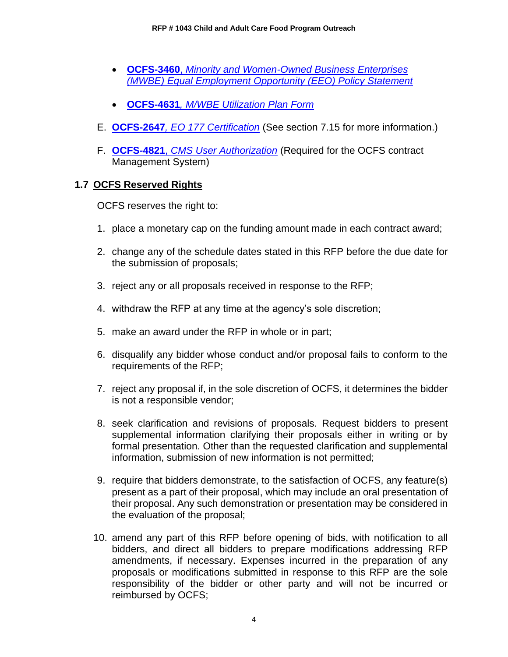- **OCFS-3460**, *[Minority and Women-Owned Business Enterprises](http://ocfs.ny.gov/main/Forms/Contracts/OCFS-3460.docx)  [\(MWBE\) Equal Employment Opportunity \(EEO\) Policy Statement](http://ocfs.ny.gov/main/Forms/Contracts/OCFS-3460.docx)*
- **OCFS-4631***[, M/WBE Utilization Plan Form](http://ocfs.ny.gov/main/Forms/Contracts/OCFS-4631%20M-WBE%20Utilization%20Plan%20Form.dot)*
- E. **OCFS-2647***[, EO 177 Certification](https://ocfs.ny.gov/main/Forms/Contracts/OCFS-2647.docx)* (See section 7.15 for more information.)
- F. **OCFS-4821**, *[CMS User Authorization](https://ocfs.ny.gov/main/Forms/Contracts/OCFS-4821%20Contract%20Management%20System%20(CMS)%20Authorization%20Form.dot)* (Required for the OCFS contract Management System)

### <span id="page-6-0"></span>**1.7 OCFS Reserved Rights**

OCFS reserves the right to:

- 1. place a monetary cap on the funding amount made in each contract award;
- 2. change any of the schedule dates stated in this RFP before the due date for the submission of proposals;
- 3. reject any or all proposals received in response to the RFP;
- 4. withdraw the RFP at any time at the agency's sole discretion;
- 5. make an award under the RFP in whole or in part;
- 6. disqualify any bidder whose conduct and/or proposal fails to conform to the requirements of the RFP;
- 7. reject any proposal if, in the sole discretion of OCFS, it determines the bidder is not a responsible vendor;
- 8. seek clarification and revisions of proposals. Request bidders to present supplemental information clarifying their proposals either in writing or by formal presentation. Other than the requested clarification and supplemental information, submission of new information is not permitted;
- 9. require that bidders demonstrate, to the satisfaction of OCFS, any feature(s) present as a part of their proposal, which may include an oral presentation of their proposal. Any such demonstration or presentation may be considered in the evaluation of the proposal;
- 10. amend any part of this RFP before opening of bids, with notification to all bidders, and direct all bidders to prepare modifications addressing RFP amendments, if necessary. Expenses incurred in the preparation of any proposals or modifications submitted in response to this RFP are the sole responsibility of the bidder or other party and will not be incurred or reimbursed by OCFS;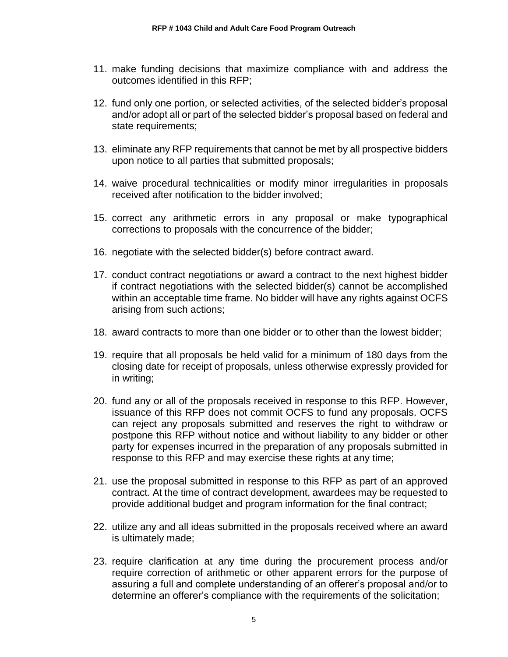- 11. make funding decisions that maximize compliance with and address the outcomes identified in this RFP;
- 12. fund only one portion, or selected activities, of the selected bidder's proposal and/or adopt all or part of the selected bidder's proposal based on federal and state requirements;
- 13. eliminate any RFP requirements that cannot be met by all prospective bidders upon notice to all parties that submitted proposals;
- 14. waive procedural technicalities or modify minor irregularities in proposals received after notification to the bidder involved;
- 15. correct any arithmetic errors in any proposal or make typographical corrections to proposals with the concurrence of the bidder;
- 16. negotiate with the selected bidder(s) before contract award.
- 17. conduct contract negotiations or award a contract to the next highest bidder if contract negotiations with the selected bidder(s) cannot be accomplished within an acceptable time frame. No bidder will have any rights against OCFS arising from such actions;
- 18. award contracts to more than one bidder or to other than the lowest bidder;
- 19. require that all proposals be held valid for a minimum of 180 days from the closing date for receipt of proposals, unless otherwise expressly provided for in writing;
- 20. fund any or all of the proposals received in response to this RFP. However, issuance of this RFP does not commit OCFS to fund any proposals. OCFS can reject any proposals submitted and reserves the right to withdraw or postpone this RFP without notice and without liability to any bidder or other party for expenses incurred in the preparation of any proposals submitted in response to this RFP and may exercise these rights at any time;
- 21. use the proposal submitted in response to this RFP as part of an approved contract. At the time of contract development, awardees may be requested to provide additional budget and program information for the final contract;
- 22. utilize any and all ideas submitted in the proposals received where an award is ultimately made;
- 23. require clarification at any time during the procurement process and/or require correction of arithmetic or other apparent errors for the purpose of assuring a full and complete understanding of an offerer's proposal and/or to determine an offerer's compliance with the requirements of the solicitation;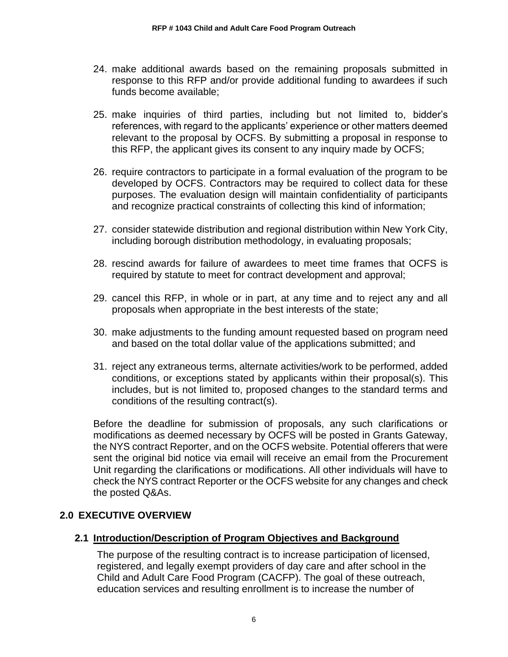- 24. make additional awards based on the remaining proposals submitted in response to this RFP and/or provide additional funding to awardees if such funds become available;
- 25. make inquiries of third parties, including but not limited to, bidder's references, with regard to the applicants' experience or other matters deemed relevant to the proposal by OCFS. By submitting a proposal in response to this RFP, the applicant gives its consent to any inquiry made by OCFS;
- 26. require contractors to participate in a formal evaluation of the program to be developed by OCFS. Contractors may be required to collect data for these purposes. The evaluation design will maintain confidentiality of participants and recognize practical constraints of collecting this kind of information;
- 27. consider statewide distribution and regional distribution within New York City, including borough distribution methodology, in evaluating proposals;
- 28. rescind awards for failure of awardees to meet time frames that OCFS is required by statute to meet for contract development and approval;
- 29. cancel this RFP, in whole or in part, at any time and to reject any and all proposals when appropriate in the best interests of the state;
- 30. make adjustments to the funding amount requested based on program need and based on the total dollar value of the applications submitted; and
- 31. reject any extraneous terms, alternate activities/work to be performed, added conditions, or exceptions stated by applicants within their proposal(s). This includes, but is not limited to, proposed changes to the standard terms and conditions of the resulting contract(s).

Before the deadline for submission of proposals, any such clarifications or modifications as deemed necessary by OCFS will be posted in Grants Gateway, the NYS contract Reporter, and on the OCFS website. Potential offerers that were sent the original bid notice via email will receive an email from the Procurement Unit regarding the clarifications or modifications. All other individuals will have to check the NYS contract Reporter or the OCFS website for any changes and check the posted Q&As.

# <span id="page-8-0"></span>**2.0 EXECUTIVE OVERVIEW**

### <span id="page-8-1"></span>**2.1 Introduction/Description of Program Objectives and Background**

The purpose of the resulting contract is to increase participation of licensed, registered, and legally exempt providers of day care and after school in the Child and Adult Care Food Program (CACFP). The goal of these outreach, education services and resulting enrollment is to increase the number of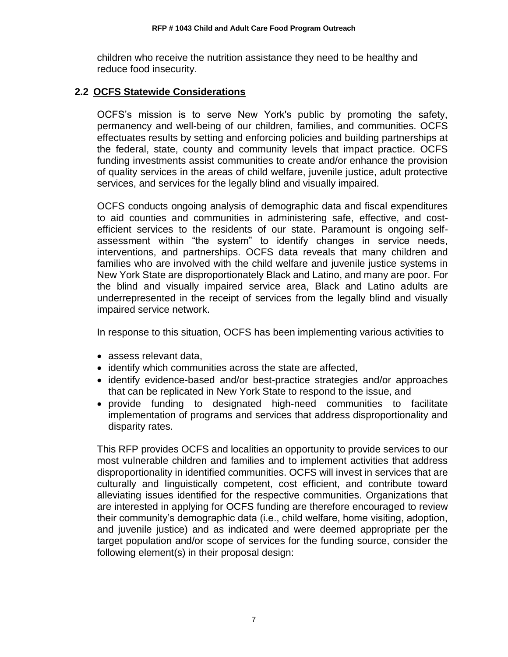children who receive the nutrition assistance they need to be healthy and reduce food insecurity.

### <span id="page-9-0"></span>**2.2 OCFS Statewide Considerations**

OCFS's mission is to serve New York's public by promoting the safety, permanency and well-being of our children, families, and communities. OCFS effectuates results by setting and enforcing policies and building partnerships at the federal, state, county and community levels that impact practice. OCFS funding investments assist communities to create and/or enhance the provision of quality services in the areas of child welfare, juvenile justice, adult protective services, and services for the legally blind and visually impaired.

OCFS conducts ongoing analysis of demographic data and fiscal expenditures to aid counties and communities in administering safe, effective, and costefficient services to the residents of our state. Paramount is ongoing selfassessment within "the system" to identify changes in service needs, interventions, and partnerships. OCFS data reveals that many children and families who are involved with the child welfare and juvenile justice systems in New York State are disproportionately Black and Latino, and many are poor. For the blind and visually impaired service area, Black and Latino adults are underrepresented in the receipt of services from the legally blind and visually impaired service network.

In response to this situation, OCFS has been implementing various activities to

- assess relevant data,
- identify which communities across the state are affected,
- identify evidence-based and/or best-practice strategies and/or approaches that can be replicated in New York State to respond to the issue, and
- provide funding to designated high-need communities to facilitate implementation of programs and services that address disproportionality and disparity rates.

This RFP provides OCFS and localities an opportunity to provide services to our most vulnerable children and families and to implement activities that address disproportionality in identified communities. OCFS will invest in services that are culturally and linguistically competent, cost efficient, and contribute toward alleviating issues identified for the respective communities. Organizations that are interested in applying for OCFS funding are therefore encouraged to review their community's demographic data (i.e., child welfare, home visiting, adoption, and juvenile justice) and as indicated and were deemed appropriate per the target population and/or scope of services for the funding source, consider the following element(s) in their proposal design: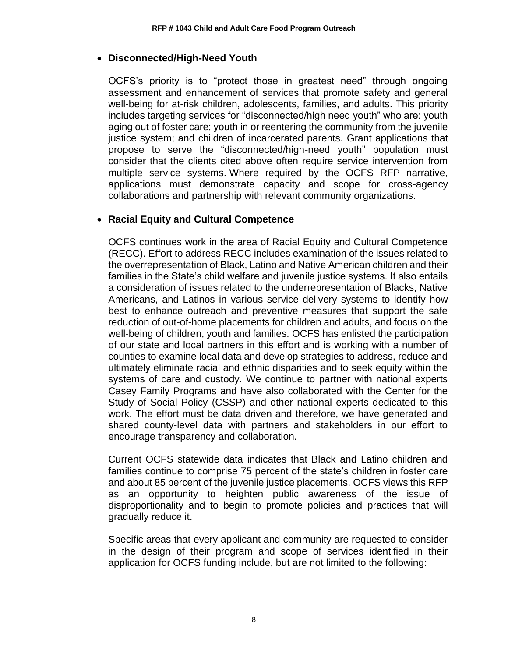#### • **Disconnected/High-Need Youth**

OCFS's priority is to "protect those in greatest need" through ongoing assessment and enhancement of services that promote safety and general well-being for at-risk children, adolescents, families, and adults. This priority includes targeting services for "disconnected/high need youth" who are: youth aging out of foster care; youth in or reentering the community from the juvenile justice system; and children of incarcerated parents. Grant applications that propose to serve the "disconnected/high-need youth" population must consider that the clients cited above often require service intervention from multiple service systems. Where required by the OCFS RFP narrative, applications must demonstrate capacity and scope for cross-agency collaborations and partnership with relevant community organizations.

### • **Racial Equity and Cultural Competence**

OCFS continues work in the area of Racial Equity and Cultural Competence (RECC). Effort to address RECC includes examination of the issues related to the overrepresentation of Black, Latino and Native American children and their families in the State's child welfare and juvenile justice systems. It also entails a consideration of issues related to the underrepresentation of Blacks, Native Americans, and Latinos in various service delivery systems to identify how best to enhance outreach and preventive measures that support the safe reduction of out-of-home placements for children and adults, and focus on the well-being of children, youth and families. OCFS has enlisted the participation of our state and local partners in this effort and is working with a number of counties to examine local data and develop strategies to address, reduce and ultimately eliminate racial and ethnic disparities and to seek equity within the systems of care and custody. We continue to partner with national experts Casey Family Programs and have also collaborated with the Center for the Study of Social Policy (CSSP) and other national experts dedicated to this work. The effort must be data driven and therefore, we have generated and shared county-level data with partners and stakeholders in our effort to encourage transparency and collaboration.

Current OCFS statewide data indicates that Black and Latino children and families continue to comprise 75 percent of the state's children in foster care and about 85 percent of the juvenile justice placements. OCFS views this RFP as an opportunity to heighten public awareness of the issue of disproportionality and to begin to promote policies and practices that will gradually reduce it.

Specific areas that every applicant and community are requested to consider in the design of their program and scope of services identified in their application for OCFS funding include, but are not limited to the following: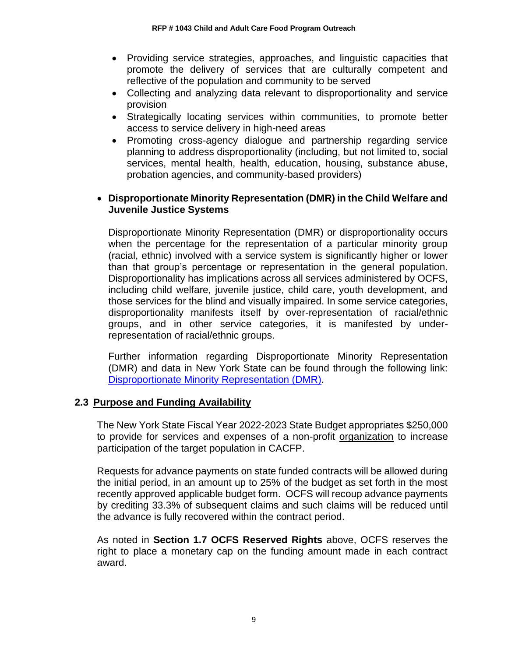- Providing service strategies, approaches, and linguistic capacities that promote the delivery of services that are culturally competent and reflective of the population and community to be served
- Collecting and analyzing data relevant to disproportionality and service provision
- Strategically locating services within communities, to promote better access to service delivery in high-need areas
- Promoting cross-agency dialogue and partnership regarding service planning to address disproportionality (including, but not limited to, social services, mental health, health, education, housing, substance abuse, probation agencies, and community-based providers)

### • **Disproportionate Minority Representation (DMR) in the Child Welfare and Juvenile Justice Systems**

Disproportionate Minority Representation (DMR) or disproportionality occurs when the percentage for the representation of a particular minority group (racial, ethnic) involved with a service system is significantly higher or lower than that group's percentage or representation in the general population. Disproportionality has implications across all services administered by OCFS, including child welfare, juvenile justice, child care, youth development, and those services for the blind and visually impaired. In some service categories, disproportionality manifests itself by over-representation of racial/ethnic groups, and in other service categories, it is manifested by underrepresentation of racial/ethnic groups.

Further information regarding Disproportionate Minority Representation (DMR) and data in New York State can be found through the following link: [Disproportionate Minority Representation \(DMR\).](https://ocfs.ny.gov/main/contracts/docs/DMR-Section-Seven-of-Grant-RFP-2015.pdf)

### <span id="page-11-0"></span>**2.3 Purpose and Funding Availability**

The New York State Fiscal Year 2022-2023 State Budget appropriates \$250,000 to provide for services and expenses of a non-profit organization to increase participation of the target population in CACFP.

Requests for advance payments on state funded contracts will be allowed during the initial period, in an amount up to 25% of the budget as set forth in the most recently approved applicable budget form. OCFS will recoup advance payments by crediting 33.3% of subsequent claims and such claims will be reduced until the advance is fully recovered within the contract period.

As noted in **Section 1.7 OCFS Reserved Rights** above, OCFS reserves the right to place a monetary cap on the funding amount made in each contract award.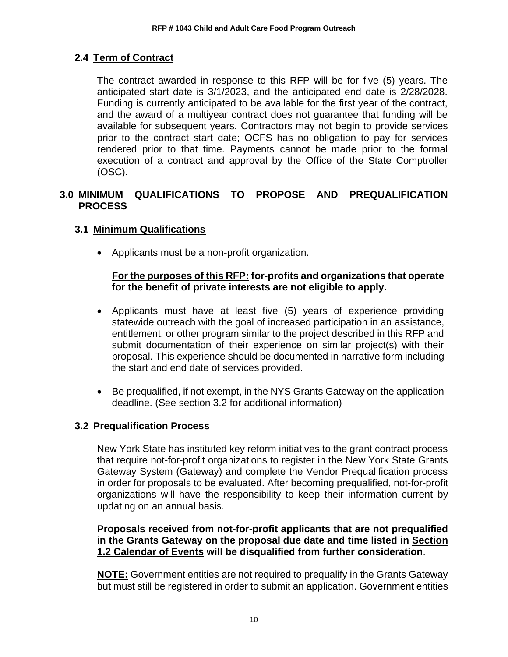# <span id="page-12-0"></span>**2.4 Term of Contract**

The contract awarded in response to this RFP will be for five (5) years. The anticipated start date is 3/1/2023, and the anticipated end date is 2/28/2028. Funding is currently anticipated to be available for the first year of the contract, and the award of a multiyear contract does not guarantee that funding will be available for subsequent years. Contractors may not begin to provide services prior to the contract start date; OCFS has no obligation to pay for services rendered prior to that time. Payments cannot be made prior to the formal execution of a contract and approval by the Office of the State Comptroller (OSC).

# <span id="page-12-1"></span>**3.0 MINIMUM QUALIFICATIONS TO PROPOSE AND PREQUALIFICATION PROCESS**

# <span id="page-12-2"></span>**3.1 Minimum Qualifications**

• Applicants must be a non-profit organization.

### **For the purposes of this RFP: for-profits and organizations that operate for the benefit of private interests are not eligible to apply.**

- Applicants must have at least five (5) years of experience providing statewide outreach with the goal of increased participation in an assistance, entitlement, or other program similar to the project described in this RFP and submit documentation of their experience on similar project(s) with their proposal. This experience should be documented in narrative form including the start and end date of services provided.
- Be prequalified, if not exempt, in the NYS Grants Gateway on the application deadline. (See section 3.2 for additional information)

### <span id="page-12-3"></span>**3.2 Prequalification Process**

New York State has instituted key reform initiatives to the grant contract process that require not-for-profit organizations to register in the New York State Grants Gateway System (Gateway) and complete the Vendor Prequalification process in order for proposals to be evaluated. After becoming prequalified, not-for-profit organizations will have the responsibility to keep their information current by updating on an annual basis.

### **Proposals received from not-for-profit applicants that are not prequalified in the Grants Gateway on the proposal due date and time listed in Section 1.2 Calendar of Events will be disqualified from further consideration**.

**NOTE:** Government entities are not required to prequalify in the Grants Gateway but must still be registered in order to submit an application. Government entities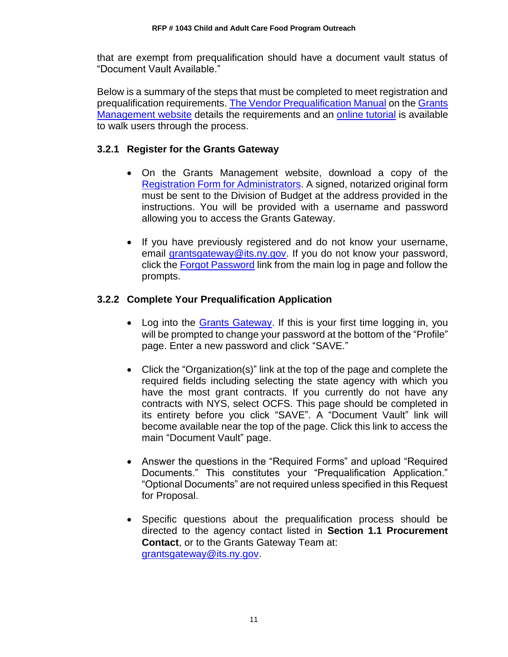that are exempt from prequalification should have a document vault status of "Document Vault Available."

Below is a summary of the steps that must be completed to meet registration and prequalification requirements. [The Vendor Prequalification Manual](https://grantsmanagement.ny.gov/get-prequalified) on the [Grants](https://grantsmanagement.ny.gov/)  [Management](https://grantsmanagement.ny.gov/) website details the requirements and an [online tutorial](https://grantsmanagement.ny.gov/videos-grant-applicants) is available to walk users through the process.

### **3.2.1 Register for the Grants Gateway**

- On the Grants Management website, download a copy of the [Registration Form for Administrators.](https://grantsmanagement.ny.gov/registrationform) A signed, notarized original form must be sent to the Division of Budget at the address provided in the instructions. You will be provided with a username and password allowing you to access the Grants Gateway.
- If you have previously registered and do not know your username, email [grantsgateway@its.ny.gov.](mailto:grantsgateway@its.ny.gov) If you do not know your password, click the [Forgot Password](https://grantsgateway.ny.gov/IntelliGrants_NYSGG/PersonPassword2.aspx?Mode=Forgot) link from the main log in page and follow the prompts.

# **3.2.2 Complete Your Prequalification Application**

- Log into the [Grants Gateway.](https://grantsgateway.ny.gov/IntelliGrants_NYSGG/login2.aspx) If this is your first time logging in, you will be prompted to change your password at the bottom of the "Profile" page. Enter a new password and click "SAVE."
- Click the "Organization(s)" link at the top of the page and complete the required fields including selecting the state agency with which you have the most grant contracts. If you currently do not have any contracts with NYS, select OCFS. This page should be completed in its entirety before you click "SAVE". A "Document Vault" link will become available near the top of the page. Click this link to access the main "Document Vault" page.
- Answer the questions in the "Required Forms" and upload "Required Documents." This constitutes your "Prequalification Application." "Optional Documents" are not required unless specified in this Request for Proposal.
- Specific questions about the prequalification process should be directed to the agency contact listed in **Section 1.1 Procurement Contact**, or to the Grants Gateway Team at: [grantsgateway@its.ny.gov.](mailto:grantsgateway@its.ny.gov)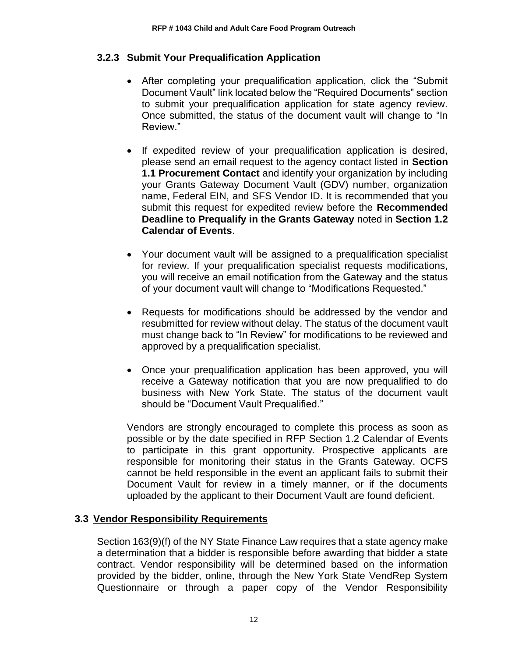# **3.2.3 Submit Your Prequalification Application**

- After completing your prequalification application, click the "Submit Document Vault" link located below the "Required Documents" section to submit your prequalification application for state agency review. Once submitted, the status of the document vault will change to "In Review."
- If expedited review of your prequalification application is desired, please send an email request to the agency contact listed in **Section 1.1 Procurement Contact** and identify your organization by including your Grants Gateway Document Vault (GDV) number, organization name, Federal EIN, and SFS Vendor ID. It is recommended that you submit this request for expedited review before the **Recommended Deadline to Prequalify in the Grants Gateway** noted in **Section 1.2 Calendar of Events**.
- Your document vault will be assigned to a prequalification specialist for review. If your prequalification specialist requests modifications, you will receive an email notification from the Gateway and the status of your document vault will change to "Modifications Requested."
- Requests for modifications should be addressed by the vendor and resubmitted for review without delay. The status of the document vault must change back to "In Review" for modifications to be reviewed and approved by a prequalification specialist.
- Once your prequalification application has been approved, you will receive a Gateway notification that you are now prequalified to do business with New York State. The status of the document vault should be "Document Vault Prequalified."

Vendors are strongly encouraged to complete this process as soon as possible or by the date specified in RFP Section 1.2 Calendar of Events to participate in this grant opportunity. Prospective applicants are responsible for monitoring their status in the Grants Gateway. OCFS cannot be held responsible in the event an applicant fails to submit their Document Vault for review in a timely manner, or if the documents uploaded by the applicant to their Document Vault are found deficient.

### <span id="page-14-0"></span>**3.3 Vendor Responsibility Requirements**

Section 163(9)(f) of the NY State Finance Law requires that a state agency make a determination that a bidder is responsible before awarding that bidder a state contract. Vendor responsibility will be determined based on the information provided by the bidder, online, through the New York State VendRep System Questionnaire or through a paper copy of the Vendor Responsibility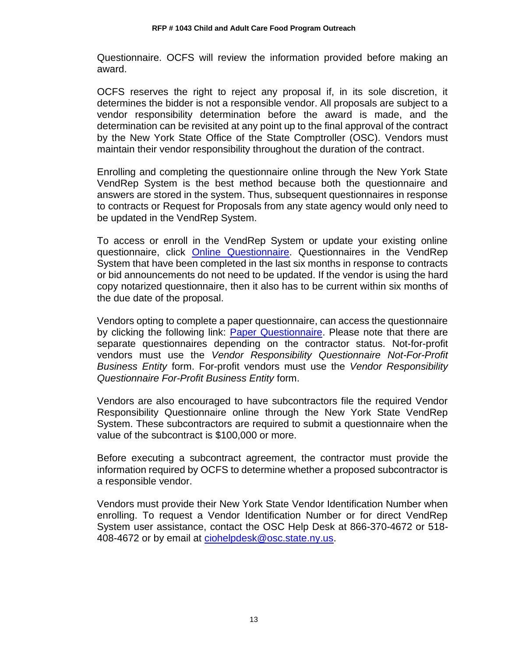Questionnaire. OCFS will review the information provided before making an award.

OCFS reserves the right to reject any proposal if, in its sole discretion, it determines the bidder is not a responsible vendor. All proposals are subject to a vendor responsibility determination before the award is made, and the determination can be revisited at any point up to the final approval of the contract by the New York State Office of the State Comptroller (OSC). Vendors must maintain their vendor responsibility throughout the duration of the contract.

Enrolling and completing the questionnaire online through the New York State VendRep System is the best method because both the questionnaire and answers are stored in the system. Thus, subsequent questionnaires in response to contracts or Request for Proposals from any state agency would only need to be updated in the VendRep System.

To access or enroll in the VendRep System or update your existing online questionnaire, click [Online Questionnaire.](http://www.osc.state.ny.us/vendrep/index.htm) Questionnaires in the VendRep System that have been completed in the last six months in response to contracts or bid announcements do not need to be updated. If the vendor is using the hard copy notarized questionnaire, then it also has to be current within six months of the due date of the proposal.

Vendors opting to complete a paper questionnaire, can access the questionnaire by clicking the following link: [Paper Questionnaire.](http://www.osc.state.ny.us/vendrep/forms_vendor.htm) Please note that there are separate questionnaires depending on the contractor status. Not-for-profit vendors must use the *Vendor Responsibility Questionnaire Not-For-Profit Business Entity* form. For-profit vendors must use the *Vendor Responsibility Questionnaire For-Profit Business Entity* form.

Vendors are also encouraged to have subcontractors file the required Vendor Responsibility Questionnaire online through the New York State VendRep System. These subcontractors are required to submit a questionnaire when the value of the subcontract is \$100,000 or more.

Before executing a subcontract agreement, the contractor must provide the information required by OCFS to determine whether a proposed subcontractor is a responsible vendor.

Vendors must provide their New York State Vendor Identification Number when enrolling. To request a Vendor Identification Number or for direct VendRep System user assistance, contact the OSC Help Desk at 866-370-4672 or 518- 408-4672 or by email at [ciohelpdesk@osc.state.ny.us.](mailto:ciohelpdesk@osc.state.ny.us)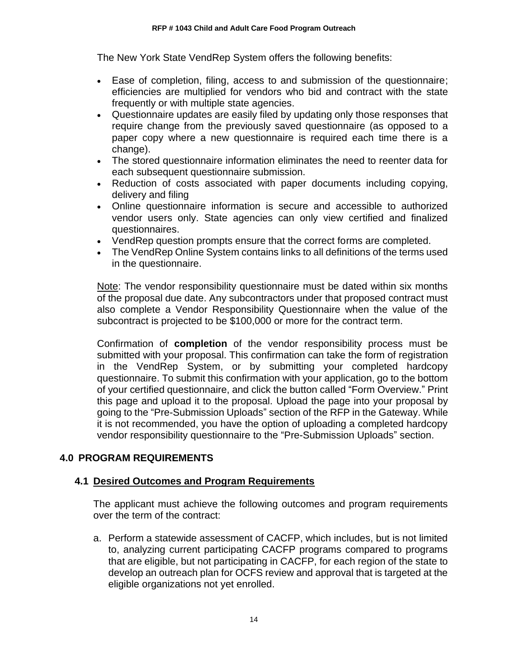The New York State VendRep System offers the following benefits:

- Ease of completion, filing, access to and submission of the questionnaire; efficiencies are multiplied for vendors who bid and contract with the state frequently or with multiple state agencies.
- Questionnaire updates are easily filed by updating only those responses that require change from the previously saved questionnaire (as opposed to a paper copy where a new questionnaire is required each time there is a change).
- The stored questionnaire information eliminates the need to reenter data for each subsequent questionnaire submission.
- Reduction of costs associated with paper documents including copying, delivery and filing
- Online questionnaire information is secure and accessible to authorized vendor users only. State agencies can only view certified and finalized questionnaires.
- VendRep question prompts ensure that the correct forms are completed.
- The VendRep Online System contains links to all definitions of the terms used in the questionnaire.

Note: The vendor responsibility questionnaire must be dated within six months of the proposal due date. Any subcontractors under that proposed contract must also complete a Vendor Responsibility Questionnaire when the value of the subcontract is projected to be \$100,000 or more for the contract term.

Confirmation of **completion** of the vendor responsibility process must be submitted with your proposal. This confirmation can take the form of registration in the VendRep System, or by submitting your completed hardcopy questionnaire. To submit this confirmation with your application, go to the bottom of your certified questionnaire, and click the button called "Form Overview." Print this page and upload it to the proposal. Upload the page into your proposal by going to the "Pre-Submission Uploads" section of the RFP in the Gateway. While it is not recommended, you have the option of uploading a completed hardcopy vendor responsibility questionnaire to the "Pre-Submission Uploads" section.

# <span id="page-16-0"></span>**4.0 PROGRAM REQUIREMENTS**

# <span id="page-16-1"></span>**4.1 Desired Outcomes and Program Requirements**

The applicant must achieve the following outcomes and program requirements over the term of the contract:

a. Perform a statewide assessment of CACFP, which includes, but is not limited to, analyzing current participating CACFP programs compared to programs that are eligible, but not participating in CACFP, for each region of the state to develop an outreach plan for OCFS review and approval that is targeted at the eligible organizations not yet enrolled.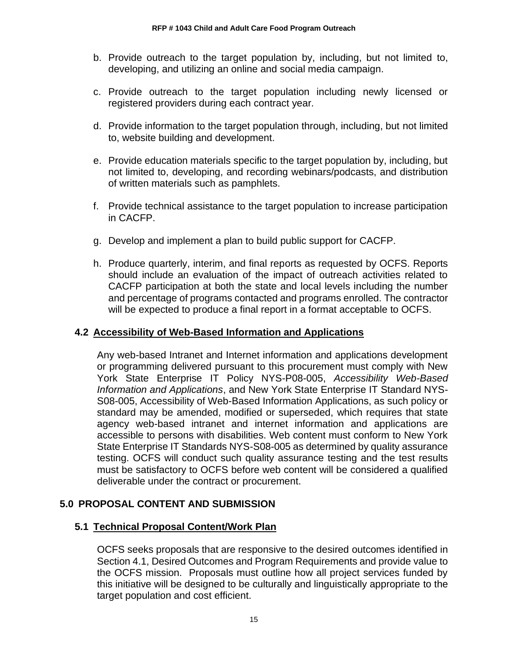- b. Provide outreach to the target population by, including, but not limited to, developing, and utilizing an online and social media campaign.
- c. Provide outreach to the target population including newly licensed or registered providers during each contract year.
- d. Provide information to the target population through, including, but not limited to, website building and development.
- e. Provide education materials specific to the target population by, including, but not limited to, developing, and recording webinars/podcasts, and distribution of written materials such as pamphlets.
- f. Provide technical assistance to the target population to increase participation in CACFP.
- g. Develop and implement a plan to build public support for CACFP.
- h. Produce quarterly, interim, and final reports as requested by OCFS. Reports should include an evaluation of the impact of outreach activities related to CACFP participation at both the state and local levels including the number and percentage of programs contacted and programs enrolled. The contractor will be expected to produce a final report in a format acceptable to OCFS.

### <span id="page-17-0"></span>**4.2 Accessibility of Web-Based Information and Applications**

Any web-based Intranet and Internet information and applications development or programming delivered pursuant to this procurement must comply with New York State Enterprise IT Policy NYS-P08-005, *Accessibility Web-Based Information and Applications*, and New York State Enterprise IT Standard NYS-S08-005, Accessibility of Web-Based Information Applications, as such policy or standard may be amended, modified or superseded, which requires that state agency web-based intranet and internet information and applications are accessible to persons with disabilities. Web content must conform to New York State Enterprise IT Standards NYS-S08-005 as determined by quality assurance testing. OCFS will conduct such quality assurance testing and the test results must be satisfactory to OCFS before web content will be considered a qualified deliverable under the contract or procurement.

# <span id="page-17-1"></span>**5.0 PROPOSAL CONTENT AND SUBMISSION**

### <span id="page-17-2"></span>**5.1 Technical Proposal Content/Work Plan**

OCFS seeks proposals that are responsive to the desired outcomes identified in Section 4.1, Desired Outcomes and Program Requirements and provide value to the OCFS mission. Proposals must outline how all project services funded by this initiative will be designed to be culturally and linguistically appropriate to the target population and cost efficient.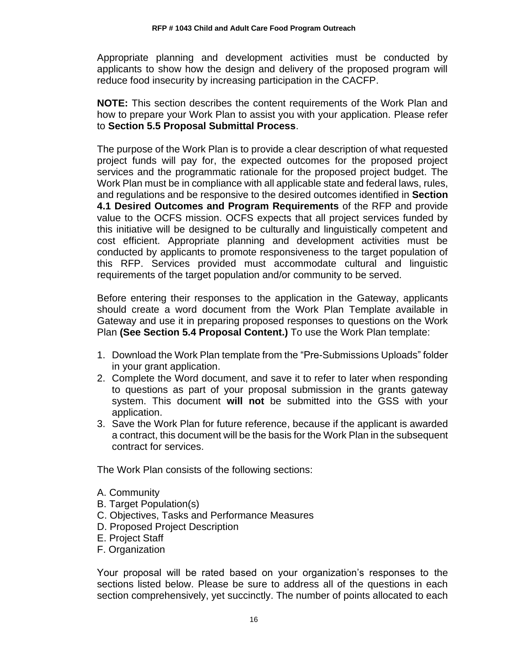Appropriate planning and development activities must be conducted by applicants to show how the design and delivery of the proposed program will reduce food insecurity by increasing participation in the CACFP.

**NOTE:** This section describes the content requirements of the Work Plan and how to prepare your Work Plan to assist you with your application. Please refer to **Section 5.5 Proposal Submittal Process**.

The purpose of the Work Plan is to provide a clear description of what requested project funds will pay for, the expected outcomes for the proposed project services and the programmatic rationale for the proposed project budget. The Work Plan must be in compliance with all applicable state and federal laws, rules, and regulations and be responsive to the desired outcomes identified in **Section 4.1 Desired Outcomes and Program Requirements** of the RFP and provide value to the OCFS mission. OCFS expects that all project services funded by this initiative will be designed to be culturally and linguistically competent and cost efficient. Appropriate planning and development activities must be conducted by applicants to promote responsiveness to the target population of this RFP. Services provided must accommodate cultural and linguistic requirements of the target population and/or community to be served.

Before entering their responses to the application in the Gateway, applicants should create a word document from the Work Plan Template available in Gateway and use it in preparing proposed responses to questions on the Work Plan **(See Section 5.4 Proposal Content.)** To use the Work Plan template:

- 1. Download the Work Plan template from the "Pre-Submissions Uploads" folder in your grant application.
- 2. Complete the Word document, and save it to refer to later when responding to questions as part of your proposal submission in the grants gateway system. This document **will not** be submitted into the GSS with your application.
- 3. Save the Work Plan for future reference, because if the applicant is awarded a contract, this document will be the basis for the Work Plan in the subsequent contract for services.

The Work Plan consists of the following sections:

- A. Community
- B. Target Population(s)
- C. Objectives, Tasks and Performance Measures
- D. Proposed Project Description
- E. Project Staff
- F. Organization

Your proposal will be rated based on your organization's responses to the sections listed below. Please be sure to address all of the questions in each section comprehensively, yet succinctly. The number of points allocated to each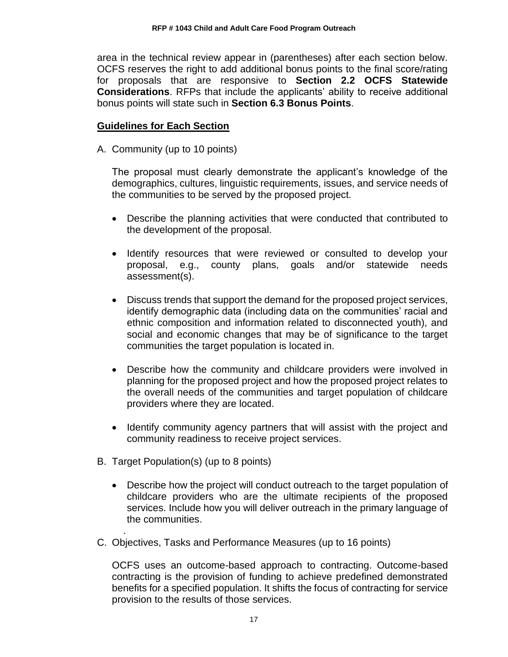area in the technical review appear in (parentheses) after each section below. OCFS reserves the right to add additional bonus points to the final score/rating for proposals that are responsive to **Section 2.2 OCFS Statewide Considerations**. RFPs that include the applicants' ability to receive additional bonus points will state such in **Section 6.3 Bonus Points**.

### **Guidelines for Each Section**

A. Community (up to 10 points)

The proposal must clearly demonstrate the applicant's knowledge of the demographics, cultures, linguistic requirements, issues, and service needs of the communities to be served by the proposed project.

- Describe the planning activities that were conducted that contributed to the development of the proposal.
- Identify resources that were reviewed or consulted to develop your proposal, e.g., county plans, goals and/or statewide needs assessment(s).
- Discuss trends that support the demand for the proposed project services, identify demographic data (including data on the communities' racial and ethnic composition and information related to disconnected youth), and social and economic changes that may be of significance to the target communities the target population is located in.
- Describe how the community and childcare providers were involved in planning for the proposed project and how the proposed project relates to the overall needs of the communities and target population of childcare providers where they are located.
- Identify community agency partners that will assist with the project and community readiness to receive project services.
- B. Target Population(s) (up to 8 points)

.

- Describe how the project will conduct outreach to the target population of childcare providers who are the ultimate recipients of the proposed services. Include how you will deliver outreach in the primary language of the communities.
- C. Objectives, Tasks and Performance Measures (up to 16 points)

OCFS uses an outcome-based approach to contracting. Outcome-based contracting is the provision of funding to achieve predefined demonstrated benefits for a specified population. It shifts the focus of contracting for service provision to the results of those services.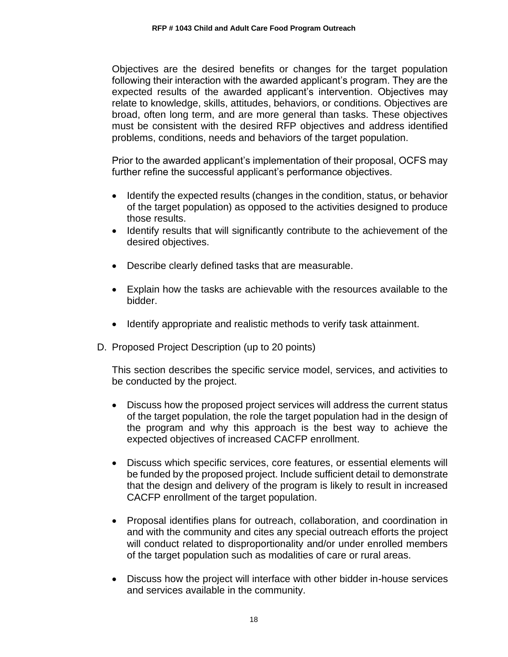Objectives are the desired benefits or changes for the target population following their interaction with the awarded applicant's program. They are the expected results of the awarded applicant's intervention. Objectives may relate to knowledge, skills, attitudes, behaviors, or conditions. Objectives are broad, often long term, and are more general than tasks. These objectives must be consistent with the desired RFP objectives and address identified problems, conditions, needs and behaviors of the target population.

Prior to the awarded applicant's implementation of their proposal, OCFS may further refine the successful applicant's performance objectives.

- Identify the expected results (changes in the condition, status, or behavior of the target population) as opposed to the activities designed to produce those results.
- Identify results that will significantly contribute to the achievement of the desired objectives.
- Describe clearly defined tasks that are measurable.
- Explain how the tasks are achievable with the resources available to the bidder.
- Identify appropriate and realistic methods to verify task attainment.
- D. Proposed Project Description (up to 20 points)

This section describes the specific service model, services, and activities to be conducted by the project.

- Discuss how the proposed project services will address the current status of the target population, the role the target population had in the design of the program and why this approach is the best way to achieve the expected objectives of increased CACFP enrollment.
- Discuss which specific services, core features, or essential elements will be funded by the proposed project. Include sufficient detail to demonstrate that the design and delivery of the program is likely to result in increased CACFP enrollment of the target population.
- Proposal identifies plans for outreach, collaboration, and coordination in and with the community and cites any special outreach efforts the project will conduct related to disproportionality and/or under enrolled members of the target population such as modalities of care or rural areas.
- Discuss how the project will interface with other bidder in-house services and services available in the community.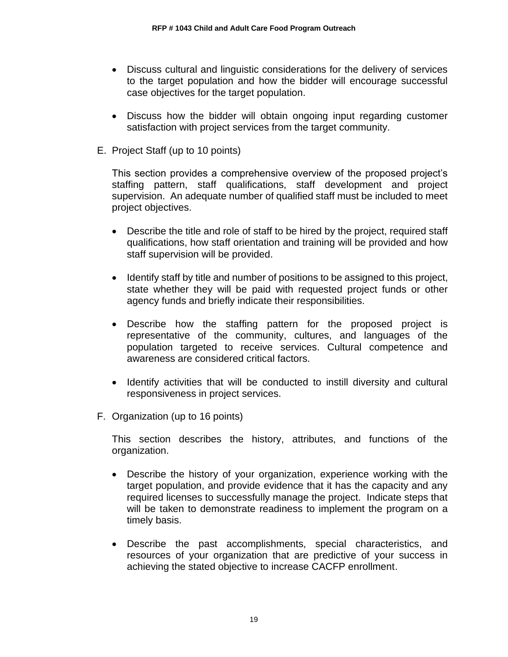- Discuss cultural and linguistic considerations for the delivery of services to the target population and how the bidder will encourage successful case objectives for the target population.
- Discuss how the bidder will obtain ongoing input regarding customer satisfaction with project services from the target community.
- E. Project Staff (up to 10 points)

This section provides a comprehensive overview of the proposed project's staffing pattern, staff qualifications, staff development and project supervision. An adequate number of qualified staff must be included to meet project objectives.

- Describe the title and role of staff to be hired by the project, required staff qualifications, how staff orientation and training will be provided and how staff supervision will be provided.
- Identify staff by title and number of positions to be assigned to this project, state whether they will be paid with requested project funds or other agency funds and briefly indicate their responsibilities.
- Describe how the staffing pattern for the proposed project is representative of the community, cultures, and languages of the population targeted to receive services. Cultural competence and awareness are considered critical factors.
- Identify activities that will be conducted to instill diversity and cultural responsiveness in project services.
- F. Organization (up to 16 points)

This section describes the history, attributes, and functions of the organization.

- Describe the history of your organization, experience working with the target population, and provide evidence that it has the capacity and any required licenses to successfully manage the project. Indicate steps that will be taken to demonstrate readiness to implement the program on a timely basis.
- Describe the past accomplishments, special characteristics, and resources of your organization that are predictive of your success in achieving the stated objective to increase CACFP enrollment.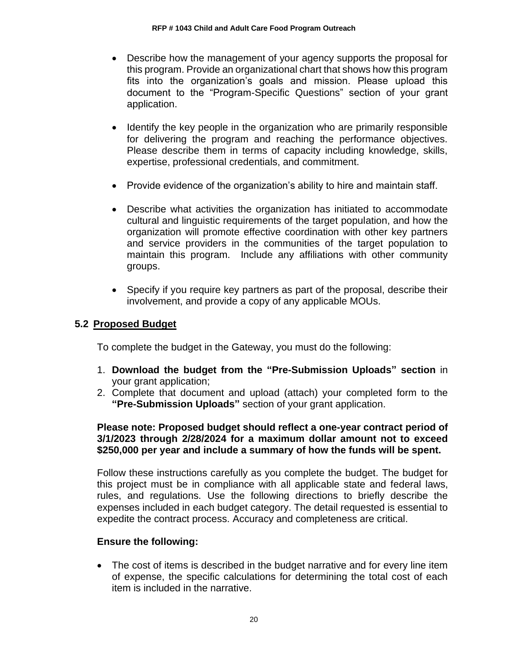- Describe how the management of your agency supports the proposal for this program. Provide an organizational chart that shows how this program fits into the organization's goals and mission. Please upload this document to the "Program-Specific Questions" section of your grant application.
- Identify the key people in the organization who are primarily responsible for delivering the program and reaching the performance objectives. Please describe them in terms of capacity including knowledge, skills, expertise, professional credentials, and commitment.
- Provide evidence of the organization's ability to hire and maintain staff.
- Describe what activities the organization has initiated to accommodate cultural and linguistic requirements of the target population, and how the organization will promote effective coordination with other key partners and service providers in the communities of the target population to maintain this program. Include any affiliations with other community groups.
- Specify if you require key partners as part of the proposal, describe their involvement, and provide a copy of any applicable MOUs.

### <span id="page-22-0"></span>**5.2 Proposed Budget**

To complete the budget in the Gateway, you must do the following:

- 1. **Download the budget from the "Pre-Submission Uploads" section** in your grant application;
- 2. Complete that document and upload (attach) your completed form to the **"Pre-Submission Uploads"** section of your grant application.

### **Please note: Proposed budget should reflect a one-year contract period of 3/1/2023 through 2/28/2024 for a maximum dollar amount not to exceed \$250,000 per year and include a summary of how the funds will be spent.**

Follow these instructions carefully as you complete the budget. The budget for this project must be in compliance with all applicable state and federal laws, rules, and regulations. Use the following directions to briefly describe the expenses included in each budget category. The detail requested is essential to expedite the contract process. Accuracy and completeness are critical.

### **Ensure the following:**

• The cost of items is described in the budget narrative and for every line item of expense, the specific calculations for determining the total cost of each item is included in the narrative.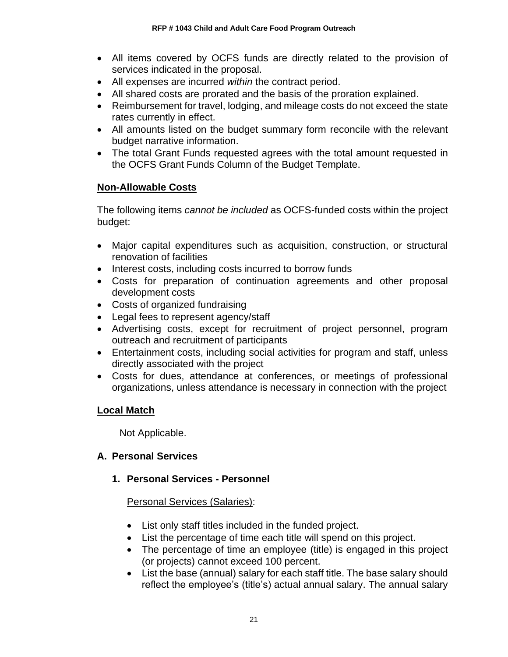- All items covered by OCFS funds are directly related to the provision of services indicated in the proposal.
- All expenses are incurred *within* the contract period.
- All shared costs are prorated and the basis of the proration explained.
- Reimbursement for travel, lodging, and mileage costs do not exceed the state rates currently in effect.
- All amounts listed on the budget summary form reconcile with the relevant budget narrative information.
- The total Grant Funds requested agrees with the total amount requested in the OCFS Grant Funds Column of the Budget Template.

# **Non-Allowable Costs**

The following items *cannot be included* as OCFS-funded costs within the project budget:

- Major capital expenditures such as acquisition, construction, or structural renovation of facilities
- Interest costs, including costs incurred to borrow funds
- Costs for preparation of continuation agreements and other proposal development costs
- Costs of organized fundraising
- Legal fees to represent agency/staff
- Advertising costs, except for recruitment of project personnel, program outreach and recruitment of participants
- Entertainment costs, including social activities for program and staff, unless directly associated with the project
- Costs for dues, attendance at conferences, or meetings of professional organizations, unless attendance is necessary in connection with the project

# **Local Match**

Not Applicable.

# **A. Personal Services**

# **1. Personal Services - Personnel**

# Personal Services (Salaries):

- List only staff titles included in the funded project.
- List the percentage of time each title will spend on this project.
- The percentage of time an employee (title) is engaged in this project (or projects) cannot exceed 100 percent.
- List the base (annual) salary for each staff title. The base salary should reflect the employee's (title's) actual annual salary. The annual salary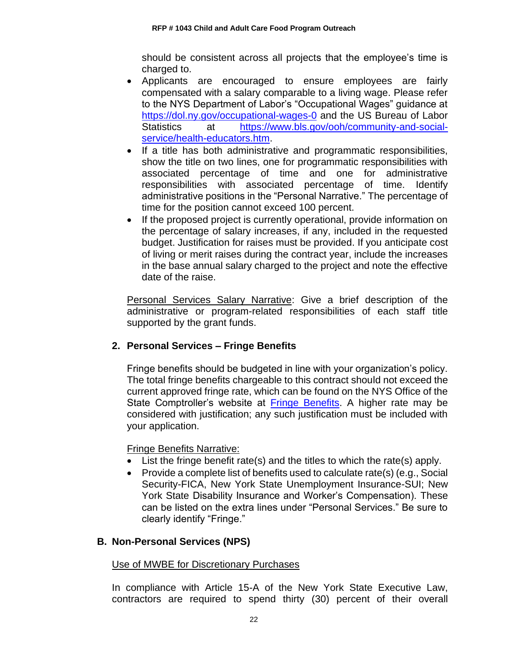should be consistent across all projects that the employee's time is charged to.

- Applicants are encouraged to ensure employees are fairly compensated with a salary comparable to a living wage. Please refer to the NYS Department of Labor's "Occupational Wages" guidance at <https://dol.ny.gov/occupational-wages-0> and the US Bureau of Labor Statistics at [https://www.bls.gov/ooh/community-and-social](https://www.bls.gov/ooh/community-and-social-service/health-educators.htm)[service/health-educators.htm.](https://www.bls.gov/ooh/community-and-social-service/health-educators.htm)
- If a title has both administrative and programmatic responsibilities, show the title on two lines, one for programmatic responsibilities with associated percentage of time and one for administrative responsibilities with associated percentage of time. Identify administrative positions in the "Personal Narrative." The percentage of time for the position cannot exceed 100 percent.
- If the proposed project is currently operational, provide information on the percentage of salary increases, if any, included in the requested budget. Justification for raises must be provided. If you anticipate cost of living or merit raises during the contract year, include the increases in the base annual salary charged to the project and note the effective date of the raise.

Personal Services Salary Narrative: Give a brief description of the administrative or program-related responsibilities of each staff title supported by the grant funds.

# **2. Personal Services – Fringe Benefits**

Fringe benefits should be budgeted in line with your organization's policy. The total fringe benefits chargeable to this contract should not exceed the current approved fringe rate, which can be found on the NYS Office of the State Comptroller's website at [Fringe Benefits.](https://www.osc.state.ny.us/agencies/guide/MyWebHelp/Content/VII/9/9.htm) A higher rate may be considered with justification; any such justification must be included with your application.

Fringe Benefits Narrative:

- List the fringe benefit rate(s) and the titles to which the rate(s) apply.
- Provide a complete list of benefits used to calculate rate(s) (e.g., Social Security-FICA, New York State Unemployment Insurance-SUI; New York State Disability Insurance and Worker's Compensation). These can be listed on the extra lines under "Personal Services." Be sure to clearly identify "Fringe."

### **B. Non-Personal Services (NPS)**

### Use of MWBE for Discretionary Purchases

In compliance with Article 15-A of the New York State Executive Law, contractors are required to spend thirty (30) percent of their overall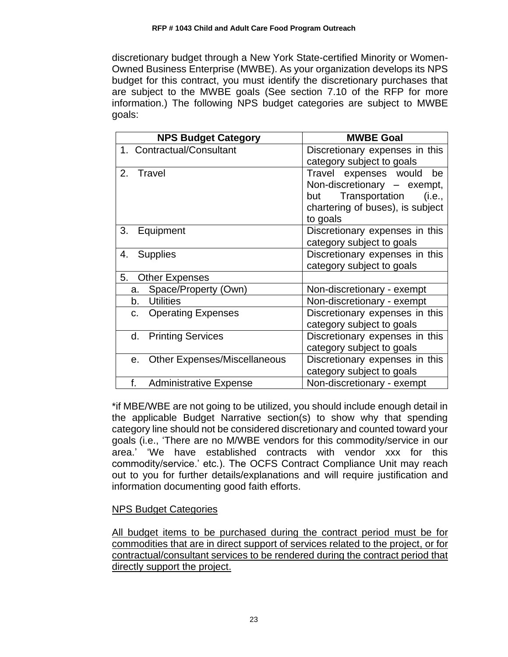discretionary budget through a New York State-certified Minority or Women-Owned Business Enterprise (MWBE). As your organization develops its NPS budget for this contract, you must identify the discretionary purchases that are subject to the MWBE goals (See section 7.10 of the RFP for more information.) The following NPS budget categories are subject to MWBE goals:

| <b>NPS Budget Category</b>                         | <b>MWBE Goal</b>                 |
|----------------------------------------------------|----------------------------------|
| 1. Contractual/Consultant                          | Discretionary expenses in this   |
|                                                    | category subject to goals        |
| 2. Travel                                          | Travel expenses would<br>be      |
|                                                    | Non-discretionary - exempt,      |
|                                                    | but Transportation (i.e.,        |
|                                                    | chartering of buses), is subject |
|                                                    | to goals                         |
| 3.<br>Equipment                                    | Discretionary expenses in this   |
|                                                    | category subject to goals        |
| 4. Supplies                                        | Discretionary expenses in this   |
|                                                    | category subject to goals        |
| 5.<br><b>Other Expenses</b>                        |                                  |
| Space/Property (Own)<br>а.                         | Non-discretionary - exempt       |
| b.<br><b>Utilities</b>                             | Non-discretionary - exempt       |
| <b>Operating Expenses</b><br>C.                    | Discretionary expenses in this   |
|                                                    | category subject to goals        |
| d.<br><b>Printing Services</b>                     | Discretionary expenses in this   |
|                                                    | category subject to goals        |
| <b>Other Expenses/Miscellaneous</b><br>$e_{\cdot}$ | Discretionary expenses in this   |
|                                                    | category subject to goals        |
| f.<br><b>Administrative Expense</b>                | Non-discretionary - exempt       |

\*if MBE/WBE are not going to be utilized, you should include enough detail in the applicable Budget Narrative section(s) to show why that spending category line should not be considered discretionary and counted toward your goals (i.e., 'There are no M/WBE vendors for this commodity/service in our area.' 'We have established contracts with vendor xxx for this commodity/service.' etc.). The OCFS Contract Compliance Unit may reach out to you for further details/explanations and will require justification and information documenting good faith efforts.

### NPS Budget Categories

All budget items to be purchased during the contract period must be for commodities that are in direct support of services related to the project, or for contractual/consultant services to be rendered during the contract period that directly support the project.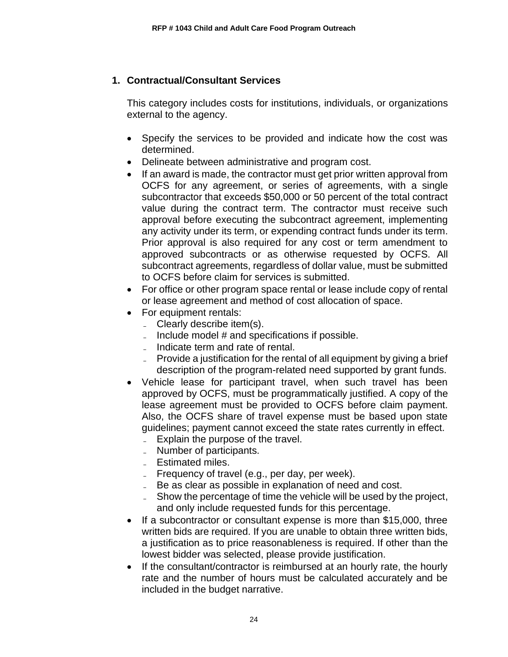# **1. Contractual/Consultant Services**

This category includes costs for institutions, individuals, or organizations external to the agency.

- Specify the services to be provided and indicate how the cost was determined.
- Delineate between administrative and program cost.
- If an award is made, the contractor must get prior written approval from OCFS for any agreement, or series of agreements, with a single subcontractor that exceeds \$50,000 or 50 percent of the total contract value during the contract term. The contractor must receive such approval before executing the subcontract agreement, implementing any activity under its term, or expending contract funds under its term. Prior approval is also required for any cost or term amendment to approved subcontracts or as otherwise requested by OCFS. All subcontract agreements, regardless of dollar value, must be submitted to OCFS before claim for services is submitted.
- For office or other program space rental or lease include copy of rental or lease agreement and method of cost allocation of space.
- For equipment rentals:
	- Clearly describe item(s).
	- $\blacksquare$  Include model # and specifications if possible.
	- Indicate term and rate of rental.
	- Provide a justification for the rental of all equipment by giving a brief description of the program-related need supported by grant funds.
- Vehicle lease for participant travel, when such travel has been approved by OCFS, must be programmatically justified. A copy of the lease agreement must be provided to OCFS before claim payment. Also, the OCFS share of travel expense must be based upon state guidelines; payment cannot exceed the state rates currently in effect.
	- Explain the purpose of the travel.
	- Number of participants.
	- Estimated miles.
	- $\blacksquare$  Frequency of travel (e.g., per day, per week).
	- Be as clear as possible in explanation of need and cost.
	- Show the percentage of time the vehicle will be used by the project, and only include requested funds for this percentage.
- If a subcontractor or consultant expense is more than \$15,000, three written bids are required. If you are unable to obtain three written bids, a justification as to price reasonableness is required. If other than the lowest bidder was selected, please provide justification.
- If the consultant/contractor is reimbursed at an hourly rate, the hourly rate and the number of hours must be calculated accurately and be included in the budget narrative.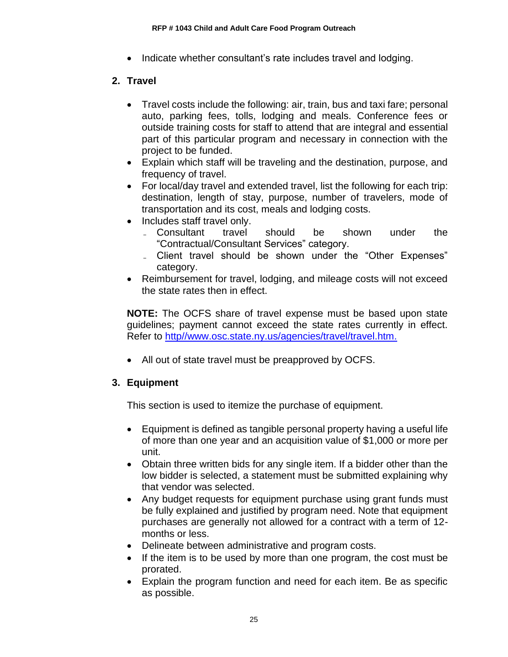• Indicate whether consultant's rate includes travel and lodging.

# **2. Travel**

- Travel costs include the following: air, train, bus and taxi fare; personal auto, parking fees, tolls, lodging and meals. Conference fees or outside training costs for staff to attend that are integral and essential part of this particular program and necessary in connection with the project to be funded.
- Explain which staff will be traveling and the destination, purpose, and frequency of travel.
- For local/day travel and extended travel, list the following for each trip: destination, length of stay, purpose, number of travelers, mode of transportation and its cost, meals and lodging costs.
- Includes staff travel only.
	- ̵ Consultant travel should be shown under the "Contractual/Consultant Services" category.
	- Client travel should be shown under the "Other Expenses" category.
- Reimbursement for travel, lodging, and mileage costs will not exceed the state rates then in effect.

**NOTE:** The OCFS share of travel expense must be based upon state guidelines; payment cannot exceed the state rates currently in effect. Refer to [http//www.osc.state.ny.us/agencies/travel/travel.htm.](http://www.osc.state.ny.us/agencies/travel/travel.htm)

• All out of state travel must be preapproved by OCFS.

# **3. Equipment**

This section is used to itemize the purchase of equipment.

- Equipment is defined as tangible personal property having a useful life of more than one year and an acquisition value of \$1,000 or more per unit.
- Obtain three written bids for any single item. If a bidder other than the low bidder is selected, a statement must be submitted explaining why that vendor was selected.
- Any budget requests for equipment purchase using grant funds must be fully explained and justified by program need. Note that equipment purchases are generally not allowed for a contract with a term of 12 months or less.
- Delineate between administrative and program costs.
- If the item is to be used by more than one program, the cost must be prorated.
- Explain the program function and need for each item. Be as specific as possible.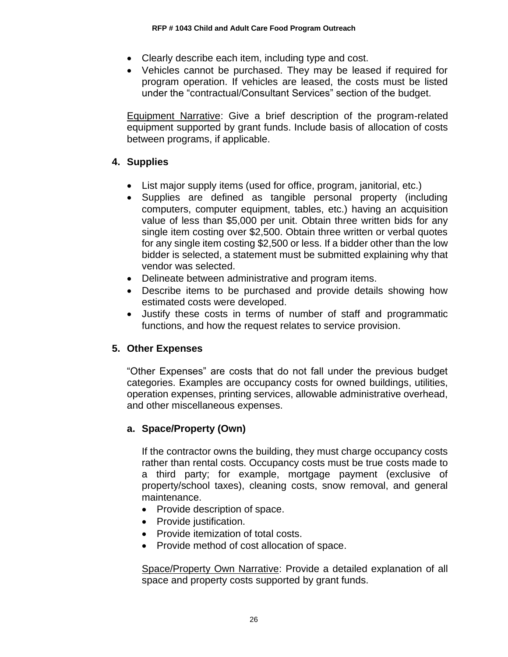- Clearly describe each item, including type and cost.
- Vehicles cannot be purchased. They may be leased if required for program operation. If vehicles are leased, the costs must be listed under the "contractual/Consultant Services" section of the budget.

Equipment Narrative: Give a brief description of the program-related equipment supported by grant funds. Include basis of allocation of costs between programs, if applicable.

# **4. Supplies**

- List major supply items (used for office, program, janitorial, etc.)
- Supplies are defined as tangible personal property (including computers, computer equipment, tables, etc.) having an acquisition value of less than \$5,000 per unit. Obtain three written bids for any single item costing over \$2,500. Obtain three written or verbal quotes for any single item costing \$2,500 or less. If a bidder other than the low bidder is selected, a statement must be submitted explaining why that vendor was selected.
- Delineate between administrative and program items.
- Describe items to be purchased and provide details showing how estimated costs were developed.
- Justify these costs in terms of number of staff and programmatic functions, and how the request relates to service provision.

# **5. Other Expenses**

"Other Expenses" are costs that do not fall under the previous budget categories. Examples are occupancy costs for owned buildings, utilities, operation expenses, printing services, allowable administrative overhead, and other miscellaneous expenses.

# **a. Space/Property (Own)**

If the contractor owns the building, they must charge occupancy costs rather than rental costs. Occupancy costs must be true costs made to a third party; for example, mortgage payment (exclusive of property/school taxes), cleaning costs, snow removal, and general maintenance.

- Provide description of space.
- Provide justification.
- Provide itemization of total costs.
- Provide method of cost allocation of space.

Space/Property Own Narrative: Provide a detailed explanation of all space and property costs supported by grant funds.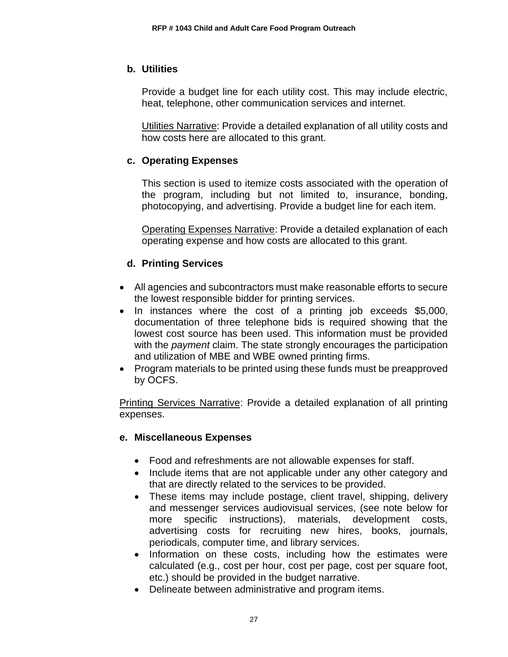### **b. Utilities**

Provide a budget line for each utility cost. This may include electric, heat, telephone, other communication services and internet.

Utilities Narrative: Provide a detailed explanation of all utility costs and how costs here are allocated to this grant.

### **c. Operating Expenses**

This section is used to itemize costs associated with the operation of the program, including but not limited to, insurance, bonding, photocopying, and advertising. Provide a budget line for each item.

Operating Expenses Narrative: Provide a detailed explanation of each operating expense and how costs are allocated to this grant.

# **d. Printing Services**

- All agencies and subcontractors must make reasonable efforts to secure the lowest responsible bidder for printing services.
- In instances where the cost of a printing job exceeds \$5,000, documentation of three telephone bids is required showing that the lowest cost source has been used. This information must be provided with the *payment* claim. The state strongly encourages the participation and utilization of MBE and WBE owned printing firms.
- Program materials to be printed using these funds must be preapproved by OCFS.

Printing Services Narrative: Provide a detailed explanation of all printing expenses.

### **e. Miscellaneous Expenses**

- Food and refreshments are not allowable expenses for staff.
- Include items that are not applicable under any other category and that are directly related to the services to be provided.
- These items may include postage, client travel, shipping, delivery and messenger services audiovisual services, (see note below for more specific instructions), materials, development costs, advertising costs for recruiting new hires, books, journals, periodicals, computer time, and library services.
- Information on these costs, including how the estimates were calculated (e.g., cost per hour, cost per page, cost per square foot, etc.) should be provided in the budget narrative.
- Delineate between administrative and program items.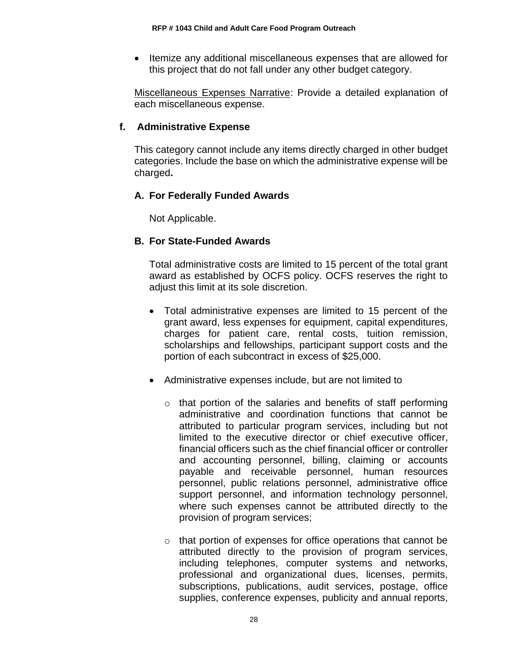• Itemize any additional miscellaneous expenses that are allowed for this project that do not fall under any other budget category.

Miscellaneous Expenses Narrative: Provide a detailed explanation of each miscellaneous expense.

### **f. Administrative Expense**

This category cannot include any items directly charged in other budget categories. Include the base on which the administrative expense will be charged**.** 

### **A. For Federally Funded Awards**

Not Applicable.

### **B. For State-Funded Awards**

Total administrative costs are limited to 15 percent of the total grant award as established by OCFS policy. OCFS reserves the right to adjust this limit at its sole discretion.

- Total administrative expenses are limited to 15 percent of the grant award, less expenses for equipment, capital expenditures, charges for patient care, rental costs, tuition remission, scholarships and fellowships, participant support costs and the portion of each subcontract in excess of \$25,000.
- Administrative expenses include, but are not limited to
	- o that portion of the salaries and benefits of staff performing administrative and coordination functions that cannot be attributed to particular program services, including but not limited to the executive director or chief executive officer, financial officers such as the chief financial officer or controller and accounting personnel, billing, claiming or accounts payable and receivable personnel, human resources personnel, public relations personnel, administrative office support personnel, and information technology personnel, where such expenses cannot be attributed directly to the provision of program services;
	- o that portion of expenses for office operations that cannot be attributed directly to the provision of program services, including telephones, computer systems and networks, professional and organizational dues, licenses, permits, subscriptions, publications, audit services, postage, office supplies, conference expenses, publicity and annual reports,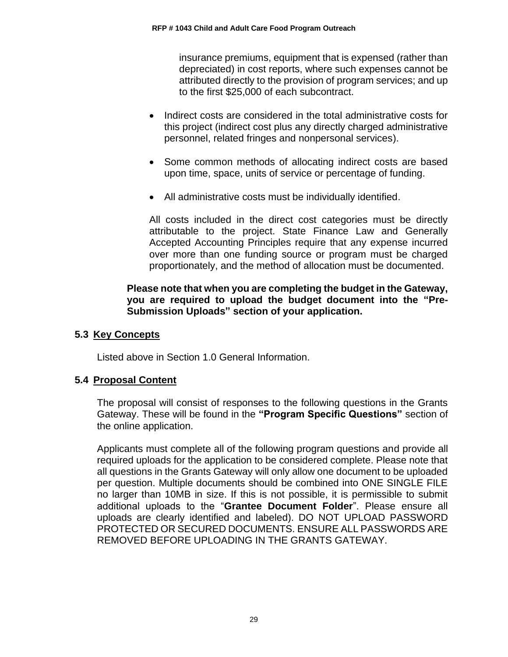insurance premiums, equipment that is expensed (rather than depreciated) in cost reports, where such expenses cannot be attributed directly to the provision of program services; and up to the first \$25,000 of each subcontract.

- Indirect costs are considered in the total administrative costs for this project (indirect cost plus any directly charged administrative personnel, related fringes and nonpersonal services).
- Some common methods of allocating indirect costs are based upon time, space, units of service or percentage of funding.
- All administrative costs must be individually identified.

All costs included in the direct cost categories must be directly attributable to the project. State Finance Law and Generally Accepted Accounting Principles require that any expense incurred over more than one funding source or program must be charged proportionately, and the method of allocation must be documented.

### **Please note that when you are completing the budget in the Gateway, you are required to upload the budget document into the "Pre-Submission Uploads" section of your application.**

### <span id="page-31-0"></span>**5.3 Key Concepts**

Listed above in Section 1.0 General Information.

### <span id="page-31-1"></span>**5.4 Proposal Content**

The proposal will consist of responses to the following questions in the Grants Gateway. These will be found in the **"Program Specific Questions"** section of the online application.

Applicants must complete all of the following program questions and provide all required uploads for the application to be considered complete. Please note that all questions in the Grants Gateway will only allow one document to be uploaded per question. Multiple documents should be combined into ONE SINGLE FILE no larger than 10MB in size. If this is not possible, it is permissible to submit additional uploads to the "**Grantee Document Folder**". Please ensure all uploads are clearly identified and labeled). DO NOT UPLOAD PASSWORD PROTECTED OR SECURED DOCUMENTS. ENSURE ALL PASSWORDS ARE REMOVED BEFORE UPLOADING IN THE GRANTS GATEWAY.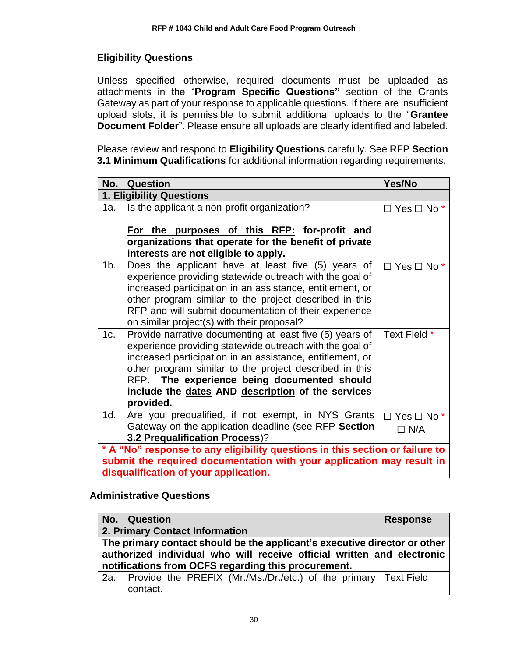# **Eligibility Questions**

Unless specified otherwise, required documents must be uploaded as attachments in the "**Program Specific Questions"** section of the Grants Gateway as part of your response to applicable questions. If there are insufficient upload slots, it is permissible to submit additional uploads to the "**Grantee Document Folder**". Please ensure all uploads are clearly identified and labeled.

Please review and respond to **Eligibility Questions** carefully. See RFP **Section 3.1 Minimum Qualifications** for additional information regarding requirements.

|                                                                              | No.   Question                                                                                        | Yes/No                    |  |
|------------------------------------------------------------------------------|-------------------------------------------------------------------------------------------------------|---------------------------|--|
|                                                                              | 1. Eligibility Questions                                                                              |                           |  |
| 1a.                                                                          | Is the applicant a non-profit organization?                                                           | $\Box$ Yes $\Box$ No $*$  |  |
|                                                                              |                                                                                                       |                           |  |
|                                                                              | For the purposes of this RFP: for-profit and                                                          |                           |  |
|                                                                              | organizations that operate for the benefit of private                                                 |                           |  |
|                                                                              | interests are not eligible to apply.                                                                  |                           |  |
| 1b.                                                                          | Does the applicant have at least five (5) years of                                                    | $\Box$ Yes $\Box$ No *    |  |
|                                                                              | experience providing statewide outreach with the goal of                                              |                           |  |
|                                                                              | increased participation in an assistance, entitlement, or                                             |                           |  |
|                                                                              | other program similar to the project described in this                                                |                           |  |
|                                                                              | RFP and will submit documentation of their experience                                                 |                           |  |
|                                                                              | on similar project(s) with their proposal?                                                            |                           |  |
| 1c.                                                                          | Provide narrative documenting at least five (5) years of                                              | Text Field *              |  |
|                                                                              | experience providing statewide outreach with the goal of                                              |                           |  |
|                                                                              | increased participation in an assistance, entitlement, or                                             |                           |  |
|                                                                              | other program similar to the project described in this<br>RFP. The experience being documented should |                           |  |
|                                                                              |                                                                                                       |                           |  |
|                                                                              | include the dates AND description of the services<br>provided.                                        |                           |  |
| 1d.                                                                          | Are you prequalified, if not exempt, in NYS Grants                                                    | $\Box$ Yes $\Box$ No $^*$ |  |
|                                                                              | Gateway on the application deadline (see RFP Section                                                  | $\Box$ N/A                |  |
|                                                                              | 3.2 Prequalification Process)?                                                                        |                           |  |
| * A "No" response to any eligibility questions in this section or failure to |                                                                                                       |                           |  |
| submit the required documentation with your application may result in        |                                                                                                       |                           |  |
|                                                                              | disqualification of your application.                                                                 |                           |  |

### **Administrative Questions**

|                                                                           | No.   Question                                                          |  | <b>Response</b> |
|---------------------------------------------------------------------------|-------------------------------------------------------------------------|--|-----------------|
|                                                                           | 2. Primary Contact Information                                          |  |                 |
| The primary contact should be the applicant's executive director or other |                                                                         |  |                 |
| authorized individual who will receive official written and electronic    |                                                                         |  |                 |
| notifications from OCFS regarding this procurement.                       |                                                                         |  |                 |
|                                                                           | 2a.   Provide the PREFIX (Mr./Ms./Dr./etc.) of the primary   Text Field |  |                 |
|                                                                           | contact.                                                                |  |                 |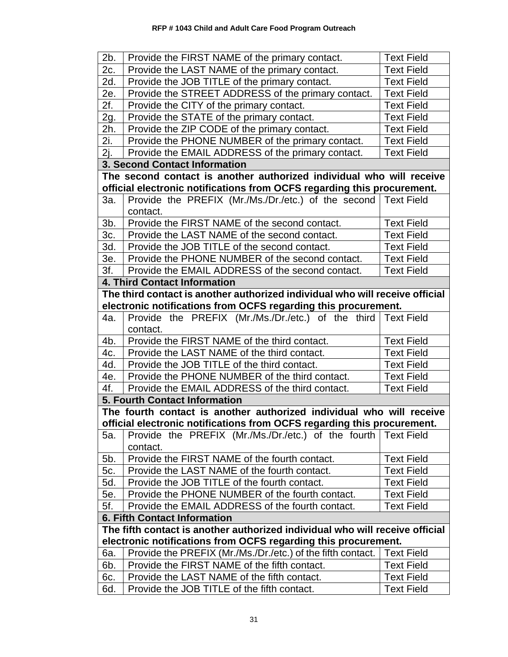| 2b.                                                                                                                                            | Provide the FIRST NAME of the primary contact.                               | <b>Text Field</b> |
|------------------------------------------------------------------------------------------------------------------------------------------------|------------------------------------------------------------------------------|-------------------|
| 2c.                                                                                                                                            | Provide the LAST NAME of the primary contact.                                | <b>Text Field</b> |
| 2d.                                                                                                                                            | Provide the JOB TITLE of the primary contact.                                | <b>Text Field</b> |
| 2e.                                                                                                                                            | Provide the STREET ADDRESS of the primary contact.                           | <b>Text Field</b> |
| 2f.                                                                                                                                            | Provide the CITY of the primary contact.                                     | <b>Text Field</b> |
| 2g.                                                                                                                                            | Provide the STATE of the primary contact.                                    | <b>Text Field</b> |
| 2h.                                                                                                                                            | Provide the ZIP CODE of the primary contact.                                 | <b>Text Field</b> |
| 2i.                                                                                                                                            | Provide the PHONE NUMBER of the primary contact.                             | <b>Text Field</b> |
| 2j.                                                                                                                                            | Provide the EMAIL ADDRESS of the primary contact.                            | <b>Text Field</b> |
|                                                                                                                                                | <b>3. Second Contact Information</b>                                         |                   |
|                                                                                                                                                | The second contact is another authorized individual who will receive         |                   |
|                                                                                                                                                | official electronic notifications from OCFS regarding this procurement.      |                   |
| 3a.                                                                                                                                            | Provide the PREFIX (Mr./Ms./Dr./etc.) of the second Text Field               |                   |
|                                                                                                                                                | contact.                                                                     |                   |
| 3b.                                                                                                                                            | Provide the FIRST NAME of the second contact.                                | <b>Text Field</b> |
| 3c.                                                                                                                                            | Provide the LAST NAME of the second contact.                                 | <b>Text Field</b> |
| 3d.                                                                                                                                            | Provide the JOB TITLE of the second contact.                                 | <b>Text Field</b> |
| 3e.                                                                                                                                            | Provide the PHONE NUMBER of the second contact.                              | <b>Text Field</b> |
| 3f.                                                                                                                                            | Provide the EMAIL ADDRESS of the second contact.                             | <b>Text Field</b> |
|                                                                                                                                                | <b>4. Third Contact Information</b>                                          |                   |
|                                                                                                                                                | The third contact is another authorized individual who will receive official |                   |
|                                                                                                                                                | electronic notifications from OCFS regarding this procurement.               |                   |
| 4a.                                                                                                                                            | Provide the PREFIX (Mr./Ms./Dr./etc.) of the third Text Field                |                   |
|                                                                                                                                                | contact.                                                                     |                   |
| 4b.                                                                                                                                            | Provide the FIRST NAME of the third contact.                                 | <b>Text Field</b> |
| 4c.                                                                                                                                            | Provide the LAST NAME of the third contact.                                  | <b>Text Field</b> |
| 4d.                                                                                                                                            | Provide the JOB TITLE of the third contact.                                  | <b>Text Field</b> |
| 4e.                                                                                                                                            | Provide the PHONE NUMBER of the third contact.                               | <b>Text Field</b> |
| 4f.                                                                                                                                            | Provide the EMAIL ADDRESS of the third contact.                              | <b>Text Field</b> |
|                                                                                                                                                | <b>5. Fourth Contact Information</b>                                         |                   |
|                                                                                                                                                | The fourth contact is another authorized individual who will receive         |                   |
|                                                                                                                                                | official electronic notifications from OCFS regarding this procurement.      |                   |
| 5а.                                                                                                                                            | Provide the PREFIX (Mr./Ms./Dr./etc.) of the fourth Text Field               |                   |
|                                                                                                                                                | contact.                                                                     |                   |
| 5b.                                                                                                                                            | Provide the FIRST NAME of the fourth contact.                                | <b>Text Field</b> |
| 5c.                                                                                                                                            | Provide the LAST NAME of the fourth contact.                                 | <b>Text Field</b> |
| 5d.                                                                                                                                            | Provide the JOB TITLE of the fourth contact.                                 | <b>Text Field</b> |
| 5e.                                                                                                                                            | Provide the PHONE NUMBER of the fourth contact.                              | <b>Text Field</b> |
| 5f.                                                                                                                                            | Provide the EMAIL ADDRESS of the fourth contact.                             | <b>Text Field</b> |
| <b>6. Fifth Contact Information</b>                                                                                                            |                                                                              |                   |
| The fifth contact is another authorized individual who will receive official<br>electronic notifications from OCFS regarding this procurement. |                                                                              |                   |
| 6а.                                                                                                                                            | Provide the PREFIX (Mr./Ms./Dr./etc.) of the fifth contact.                  | <b>Text Field</b> |
| 6b.                                                                                                                                            | Provide the FIRST NAME of the fifth contact.                                 | <b>Text Field</b> |
| 6с.                                                                                                                                            | Provide the LAST NAME of the fifth contact.                                  | <b>Text Field</b> |
| 6d.                                                                                                                                            | Provide the JOB TITLE of the fifth contact.                                  | <b>Text Field</b> |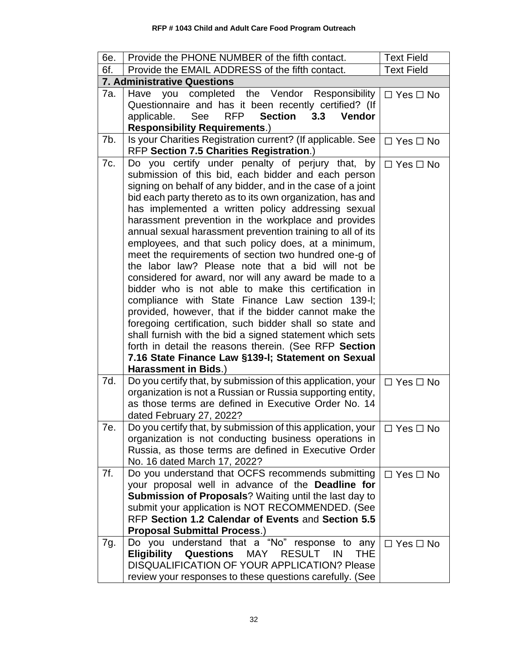| 6e. | Provide the PHONE NUMBER of the fifth contact.                                                                                                                                                                                                                                                                                                                                                                                                                                                                                                                                                                                                                                                                                                                                                                                                                                                                                                                                                                                                                                   | <b>Text Field</b>    |
|-----|----------------------------------------------------------------------------------------------------------------------------------------------------------------------------------------------------------------------------------------------------------------------------------------------------------------------------------------------------------------------------------------------------------------------------------------------------------------------------------------------------------------------------------------------------------------------------------------------------------------------------------------------------------------------------------------------------------------------------------------------------------------------------------------------------------------------------------------------------------------------------------------------------------------------------------------------------------------------------------------------------------------------------------------------------------------------------------|----------------------|
| 6f. | Provide the EMAIL ADDRESS of the fifth contact.                                                                                                                                                                                                                                                                                                                                                                                                                                                                                                                                                                                                                                                                                                                                                                                                                                                                                                                                                                                                                                  | <b>Text Field</b>    |
|     | <b>7. Administrative Questions</b>                                                                                                                                                                                                                                                                                                                                                                                                                                                                                                                                                                                                                                                                                                                                                                                                                                                                                                                                                                                                                                               |                      |
| 7а. | completed the Vendor Responsibility<br>Have<br>you<br>Questionnaire and has it been recently certified? (If<br><b>Section</b><br>See<br><b>RFP</b><br>Vendor<br>applicable.<br>3.3<br><b>Responsibility Requirements.)</b>                                                                                                                                                                                                                                                                                                                                                                                                                                                                                                                                                                                                                                                                                                                                                                                                                                                       | $\Box$ Yes $\Box$ No |
| 7b. | Is your Charities Registration current? (If applicable. See<br>RFP Section 7.5 Charities Registration.)                                                                                                                                                                                                                                                                                                                                                                                                                                                                                                                                                                                                                                                                                                                                                                                                                                                                                                                                                                          | $\Box$ Yes $\Box$ No |
| 7c. | Do you certify under penalty of perjury that, by<br>submission of this bid, each bidder and each person<br>signing on behalf of any bidder, and in the case of a joint<br>bid each party thereto as to its own organization, has and<br>has implemented a written policy addressing sexual<br>harassment prevention in the workplace and provides<br>annual sexual harassment prevention training to all of its<br>employees, and that such policy does, at a minimum,<br>meet the requirements of section two hundred one-g of<br>the labor law? Please note that a bid will not be<br>considered for award, nor will any award be made to a<br>bidder who is not able to make this certification in<br>compliance with State Finance Law section 139-I;<br>provided, however, that if the bidder cannot make the<br>foregoing certification, such bidder shall so state and<br>shall furnish with the bid a signed statement which sets<br>forth in detail the reasons therein. (See RFP Section<br>7.16 State Finance Law §139-I; Statement on Sexual<br>Harassment in Bids.) | $\Box$ Yes $\Box$ No |
| 7d. | Do you certify that, by submission of this application, your<br>organization is not a Russian or Russia supporting entity,<br>as those terms are defined in Executive Order No. 14<br>dated February 27, 2022?                                                                                                                                                                                                                                                                                                                                                                                                                                                                                                                                                                                                                                                                                                                                                                                                                                                                   | $\Box$ Yes $\Box$ No |
| 7e. | Do you certify that, by submission of this application, your<br>organization is not conducting business operations in<br>Russia, as those terms are defined in Executive Order<br>No. 16 dated March 17, 2022?                                                                                                                                                                                                                                                                                                                                                                                                                                                                                                                                                                                                                                                                                                                                                                                                                                                                   | $\Box$ Yes $\Box$ No |
| 7f. | Do you understand that OCFS recommends submitting<br>your proposal well in advance of the Deadline for<br><b>Submission of Proposals?</b> Waiting until the last day to<br>submit your application is NOT RECOMMENDED. (See<br>RFP Section 1.2 Calendar of Events and Section 5.5<br><b>Proposal Submittal Process.)</b>                                                                                                                                                                                                                                                                                                                                                                                                                                                                                                                                                                                                                                                                                                                                                         | $\Box$ Yes $\Box$ No |
| 7g. | Do you understand that a "No" response to any<br><b>Eligibility</b><br><b>Questions</b><br>MAY<br><b>RESULT</b><br>IN<br>THE<br>DISQUALIFICATION OF YOUR APPLICATION? Please<br>review your responses to these questions carefully. (See                                                                                                                                                                                                                                                                                                                                                                                                                                                                                                                                                                                                                                                                                                                                                                                                                                         | $\Box$ Yes $\Box$ No |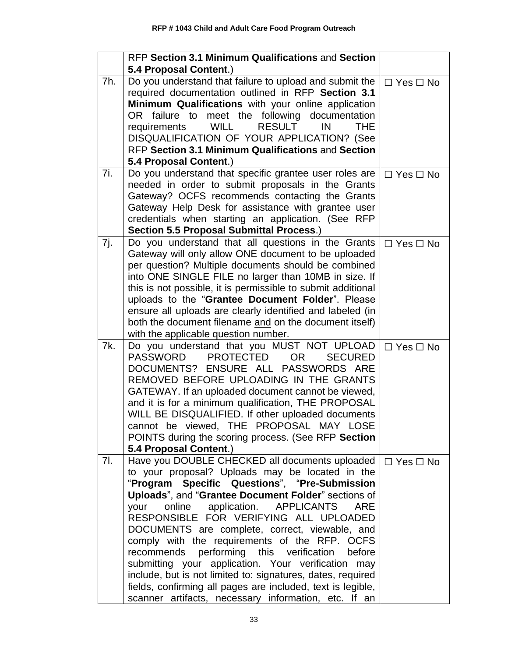|     | RFP Section 3.1 Minimum Qualifications and Section                                                                    |                      |
|-----|-----------------------------------------------------------------------------------------------------------------------|----------------------|
|     | 5.4 Proposal Content.)                                                                                                |                      |
| 7h. | Do you understand that failure to upload and submit the                                                               | $\Box$ Yes $\Box$ No |
|     | required documentation outlined in RFP Section 3.1                                                                    |                      |
|     | Minimum Qualifications with your online application                                                                   |                      |
|     | meet the following documentation<br>OR failure to<br><b>RESULT</b><br>requirements<br><b>WILL</b><br>IN<br><b>THE</b> |                      |
|     | DISQUALIFICATION OF YOUR APPLICATION? (See                                                                            |                      |
|     | RFP Section 3.1 Minimum Qualifications and Section                                                                    |                      |
|     | 5.4 Proposal Content.)                                                                                                |                      |
| 7i. | Do you understand that specific grantee user roles are                                                                | $\Box$ Yes $\Box$ No |
|     | needed in order to submit proposals in the Grants                                                                     |                      |
|     | Gateway? OCFS recommends contacting the Grants                                                                        |                      |
|     | Gateway Help Desk for assistance with grantee user                                                                    |                      |
|     | credentials when starting an application. (See RFP                                                                    |                      |
|     | Section 5.5 Proposal Submittal Process.)                                                                              |                      |
| 7j. | Do you understand that all questions in the Grants                                                                    | $\Box$ Yes $\Box$ No |
|     | Gateway will only allow ONE document to be uploaded                                                                   |                      |
|     | per question? Multiple documents should be combined<br>into ONE SINGLE FILE no larger than 10MB in size. If           |                      |
|     | this is not possible, it is permissible to submit additional                                                          |                      |
|     | uploads to the "Grantee Document Folder". Please                                                                      |                      |
|     | ensure all uploads are clearly identified and labeled (in                                                             |                      |
|     | both the document filename and on the document itself)                                                                |                      |
|     | with the applicable question number.                                                                                  |                      |
| 7k. | Do you understand that you MUST NOT UPLOAD                                                                            | $\Box$ Yes $\Box$ No |
|     | <b>PROTECTED</b><br><b>PASSWORD</b><br><b>SECURED</b><br>OR.                                                          |                      |
|     | DOCUMENTS? ENSURE ALL PASSWORDS ARE                                                                                   |                      |
|     | REMOVED BEFORE UPLOADING IN THE GRANTS                                                                                |                      |
|     | GATEWAY. If an uploaded document cannot be viewed,                                                                    |                      |
|     | and it is for a minimum qualification, THE PROPOSAL<br>WILL BE DISQUALIFIED. If other uploaded documents              |                      |
|     | cannot be viewed, THE PROPOSAL MAY LOSE                                                                               |                      |
|     | POINTS during the scoring process. (See RFP Section                                                                   |                      |
|     | 5.4 Proposal Content.)                                                                                                |                      |
| 7l. | Have you DOUBLE CHECKED all documents uploaded                                                                        | $\Box$ Yes $\Box$ No |
|     | to your proposal? Uploads may be located in the                                                                       |                      |
|     | Specific Questions", "Pre-Submission<br>"Program                                                                      |                      |
|     | Uploads", and "Grantee Document Folder" sections of                                                                   |                      |
|     | online<br>application. APPLICANTS<br>your<br><b>ARE</b>                                                               |                      |
|     | RESPONSIBLE FOR VERIFYING ALL UPLOADED                                                                                |                      |
|     | DOCUMENTS are complete, correct, viewable, and                                                                        |                      |
|     | comply with the requirements of the RFP. OCFS                                                                         |                      |
|     | recommends performing this verification<br>before<br>submitting your application. Your verification<br>may            |                      |
|     | include, but is not limited to: signatures, dates, required                                                           |                      |
|     | fields, confirming all pages are included, text is legible,                                                           |                      |
|     | scanner artifacts, necessary information, etc. If an                                                                  |                      |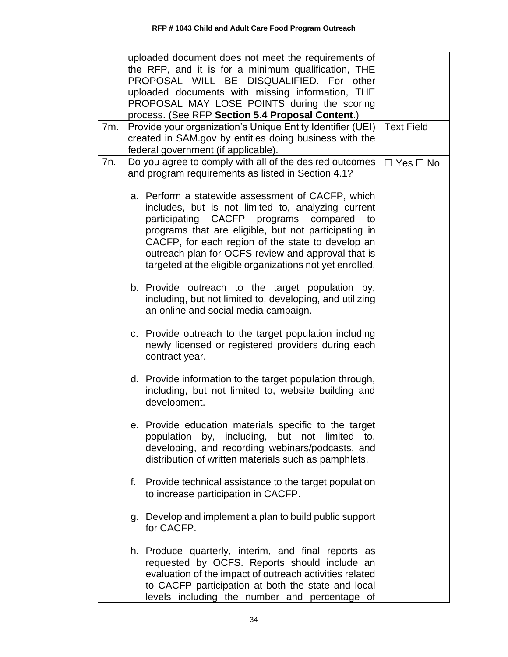|     | uploaded document does not meet the requirements of                                                                                                                                                                                                                                                                                                                                         |                      |
|-----|---------------------------------------------------------------------------------------------------------------------------------------------------------------------------------------------------------------------------------------------------------------------------------------------------------------------------------------------------------------------------------------------|----------------------|
|     | the RFP, and it is for a minimum qualification, THE<br>PROPOSAL WILL BE DISQUALIFIED. For other                                                                                                                                                                                                                                                                                             |                      |
|     | uploaded documents with missing information, THE                                                                                                                                                                                                                                                                                                                                            |                      |
|     | PROPOSAL MAY LOSE POINTS during the scoring                                                                                                                                                                                                                                                                                                                                                 |                      |
|     | process. (See RFP Section 5.4 Proposal Content.)                                                                                                                                                                                                                                                                                                                                            |                      |
| 7m. | Provide your organization's Unique Entity Identifier (UEI)                                                                                                                                                                                                                                                                                                                                  | <b>Text Field</b>    |
|     | created in SAM.gov by entities doing business with the                                                                                                                                                                                                                                                                                                                                      |                      |
| 7n. | federal government (if applicable).<br>Do you agree to comply with all of the desired outcomes                                                                                                                                                                                                                                                                                              | $\Box$ Yes $\Box$ No |
|     | and program requirements as listed in Section 4.1?                                                                                                                                                                                                                                                                                                                                          |                      |
|     | a. Perform a statewide assessment of CACFP, which<br>includes, but is not limited to, analyzing current<br>participating<br>CACFP programs<br>compared<br>to<br>programs that are eligible, but not participating in<br>CACFP, for each region of the state to develop an<br>outreach plan for OCFS review and approval that is<br>targeted at the eligible organizations not yet enrolled. |                      |
|     | b. Provide outreach to the target population by,<br>including, but not limited to, developing, and utilizing<br>an online and social media campaign.                                                                                                                                                                                                                                        |                      |
|     | c. Provide outreach to the target population including<br>newly licensed or registered providers during each<br>contract year.                                                                                                                                                                                                                                                              |                      |
|     | d. Provide information to the target population through,<br>including, but not limited to, website building and<br>development.                                                                                                                                                                                                                                                             |                      |
|     | e. Provide education materials specific to the target<br>population by, including, but not limited<br>to.<br>developing, and recording webinars/podcasts, and<br>distribution of written materials such as pamphlets.                                                                                                                                                                       |                      |
|     | Provide technical assistance to the target population<br>f.<br>to increase participation in CACFP.                                                                                                                                                                                                                                                                                          |                      |
|     | Develop and implement a plan to build public support<br>g.<br>for CACFP.                                                                                                                                                                                                                                                                                                                    |                      |
|     | h. Produce quarterly, interim, and final reports as<br>requested by OCFS. Reports should include an<br>evaluation of the impact of outreach activities related<br>to CACFP participation at both the state and local<br>levels including the number and percentage of                                                                                                                       |                      |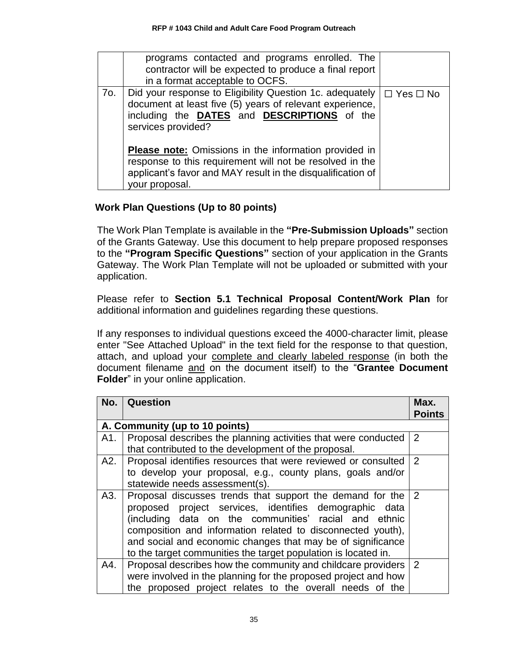|     | programs contacted and programs enrolled. The<br>contractor will be expected to produce a final report<br>in a format acceptable to OCFS.                                                                 |                      |
|-----|-----------------------------------------------------------------------------------------------------------------------------------------------------------------------------------------------------------|----------------------|
| 70. | Did your response to Eligibility Question 1c. adequately  <br>document at least five (5) years of relevant experience,<br>including the DATES and DESCRIPTIONS of the<br>services provided?               | $\Box$ Yes $\Box$ No |
|     | <b>Please note:</b> Omissions in the information provided in<br>response to this requirement will not be resolved in the<br>applicant's favor and MAY result in the disqualification of<br>your proposal. |                      |

# **Work Plan Questions (Up to 80 points)**

The Work Plan Template is available in the **"Pre-Submission Uploads"** section of the Grants Gateway. Use this document to help prepare proposed responses to the **"Program Specific Questions"** section of your application in the Grants Gateway. The Work Plan Template will not be uploaded or submitted with your application.

Please refer to **Section 5.1 Technical Proposal Content/Work Plan** for additional information and guidelines regarding these questions.

If any responses to individual questions exceed the 4000-character limit, please enter "See Attached Upload" in the text field for the response to that question, attach, and upload your complete and clearly labeled response (in both the document filename and on the document itself) to the "**Grantee Document Folder**" in your online application.

| No. | Question                                                       | Max.<br><b>Points</b> |
|-----|----------------------------------------------------------------|-----------------------|
|     | A. Community (up to 10 points)                                 |                       |
| A1. | Proposal describes the planning activities that were conducted | 2                     |
|     | that contributed to the development of the proposal.           |                       |
| A2. | Proposal identifies resources that were reviewed or consulted  | 2                     |
|     | to develop your proposal, e.g., county plans, goals and/or     |                       |
|     | statewide needs assessment(s).                                 |                       |
| A3. | Proposal discusses trends that support the demand for the      | $\overline{2}$        |
|     | proposed project services, identifies demographic data         |                       |
|     | (including data on the communities' racial and ethnic          |                       |
|     | composition and information related to disconnected youth),    |                       |
|     | and social and economic changes that may be of significance    |                       |
|     | to the target communities the target population is located in. |                       |
| A4. | Proposal describes how the community and childcare providers   | 2                     |
|     | were involved in the planning for the proposed project and how |                       |
|     | the proposed project relates to the overall needs of the       |                       |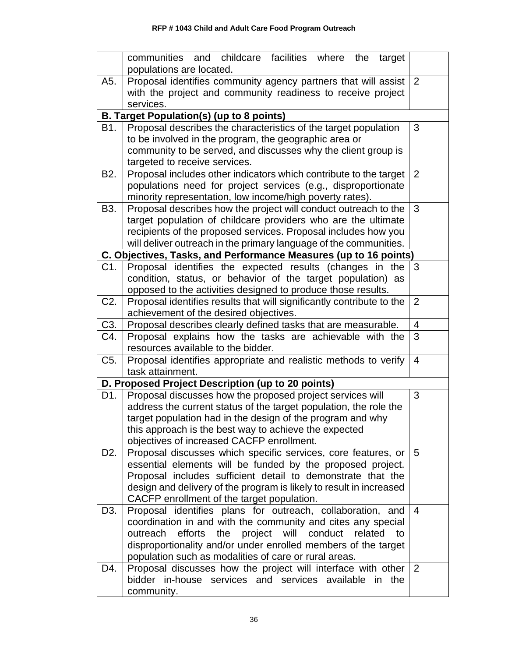|                  | communities and childcare facilities where the<br>target<br>populations are located.                              |                |
|------------------|-------------------------------------------------------------------------------------------------------------------|----------------|
| A5.              | Proposal identifies community agency partners that will assist                                                    | 2              |
|                  | with the project and community readiness to receive project                                                       |                |
|                  | services.                                                                                                         |                |
|                  | <b>B. Target Population(s) (up to 8 points)</b>                                                                   |                |
| B1.              | Proposal describes the characteristics of the target population                                                   | 3              |
|                  | to be involved in the program, the geographic area or                                                             |                |
|                  | community to be served, and discusses why the client group is                                                     |                |
|                  | targeted to receive services.                                                                                     |                |
| B <sub>2</sub> . | Proposal includes other indicators which contribute to the target                                                 | 2              |
|                  | populations need for project services (e.g., disproportionate                                                     |                |
|                  | minority representation, low income/high poverty rates).                                                          |                |
| B3.              | Proposal describes how the project will conduct outreach to the                                                   | 3              |
|                  | target population of childcare providers who are the ultimate                                                     |                |
|                  | recipients of the proposed services. Proposal includes how you                                                    |                |
|                  | will deliver outreach in the primary language of the communities.                                                 |                |
|                  | C. Objectives, Tasks, and Performance Measures (up to 16 points)                                                  |                |
| C1.              | Proposal identifies the expected results (changes in the                                                          | 3              |
|                  | condition, status, or behavior of the target population) as                                                       |                |
|                  | opposed to the activities designed to produce those results.                                                      |                |
| C <sub>2</sub> . | Proposal identifies results that will significantly contribute to the                                             | $\overline{2}$ |
|                  | achievement of the desired objectives.                                                                            |                |
| C3.              | Proposal describes clearly defined tasks that are measurable.                                                     | 4              |
| C4.              | Proposal explains how the tasks are achievable with the<br>resources available to the bidder.                     | 3              |
| C5.              | Proposal identifies appropriate and realistic methods to verify                                                   | 4              |
|                  | task attainment.                                                                                                  |                |
|                  | D. Proposed Project Description (up to 20 points)                                                                 |                |
| D1.              | Proposal discusses how the proposed project services will                                                         | 3              |
|                  | address the current status of the target population, the role the                                                 |                |
|                  | target population had in the design of the program and why                                                        |                |
|                  | this approach is the best way to achieve the expected                                                             |                |
|                  | objectives of increased CACFP enrollment.                                                                         |                |
| D <sub>2</sub> . | Proposal discusses which specific services, core features, or                                                     | 5              |
|                  | essential elements will be funded by the proposed project.                                                        |                |
|                  | Proposal includes sufficient detail to demonstrate that the                                                       |                |
|                  | design and delivery of the program is likely to result in increased<br>CACFP enrollment of the target population. |                |
| D3.              | Proposal identifies plans for outreach, collaboration, and                                                        | 4              |
|                  | coordination in and with the community and cites any special                                                      |                |
|                  | efforts<br>the<br>project<br>will<br>conduct<br>outreach<br>related<br>to                                         |                |
|                  | disproportionality and/or under enrolled members of the target                                                    |                |
|                  | population such as modalities of care or rural areas.                                                             |                |
| D4.              | Proposal discusses how the project will interface with other                                                      | 2              |
|                  | bidder in-house services and services available<br>in the                                                         |                |
|                  | community.                                                                                                        |                |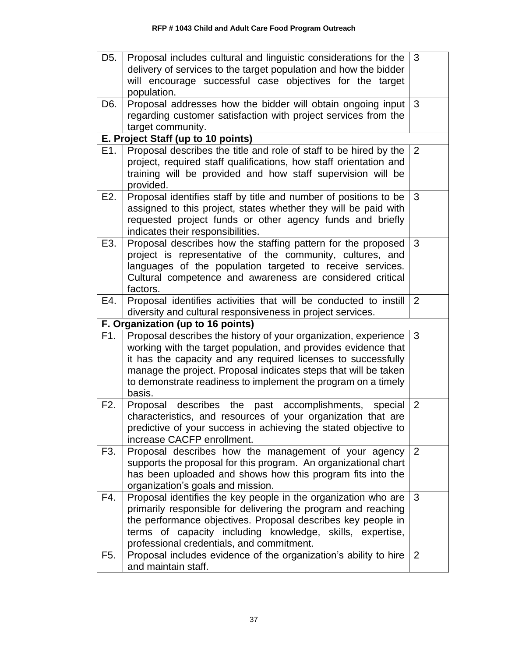| D <sub>5.</sub> | Proposal includes cultural and linguistic considerations for the<br>delivery of services to the target population and how the bidder<br>will encourage successful case objectives for the target<br>population.                                                                                                                                  | 3              |
|-----------------|--------------------------------------------------------------------------------------------------------------------------------------------------------------------------------------------------------------------------------------------------------------------------------------------------------------------------------------------------|----------------|
| D6.             | Proposal addresses how the bidder will obtain ongoing input<br>regarding customer satisfaction with project services from the<br>target community.                                                                                                                                                                                               | 3              |
|                 | E. Project Staff (up to 10 points)                                                                                                                                                                                                                                                                                                               |                |
| E1.             | Proposal describes the title and role of staff to be hired by the<br>project, required staff qualifications, how staff orientation and<br>training will be provided and how staff supervision will be<br>provided.                                                                                                                               | 2              |
| E2.             | Proposal identifies staff by title and number of positions to be<br>assigned to this project, states whether they will be paid with<br>requested project funds or other agency funds and briefly<br>indicates their responsibilities.                                                                                                            | 3              |
| E3.             | Proposal describes how the staffing pattern for the proposed<br>project is representative of the community, cultures, and<br>languages of the population targeted to receive services.<br>Cultural competence and awareness are considered critical<br>factors.                                                                                  | 3              |
| E4.             | Proposal identifies activities that will be conducted to instill<br>diversity and cultural responsiveness in project services.                                                                                                                                                                                                                   | 2              |
|                 | F. Organization (up to 16 points)                                                                                                                                                                                                                                                                                                                |                |
| F1.             | Proposal describes the history of your organization, experience<br>working with the target population, and provides evidence that<br>it has the capacity and any required licenses to successfully<br>manage the project. Proposal indicates steps that will be taken<br>to demonstrate readiness to implement the program on a timely<br>basis. | 3              |
| F2.             | Proposal describes the past accomplishments,<br>special<br>characteristics, and resources of your organization that are<br>predictive of your success in achieving the stated objective to<br>increase CACFP enrollment.                                                                                                                         | $\overline{2}$ |
| F3.             | Proposal describes how the management of your agency<br>supports the proposal for this program. An organizational chart<br>has been uploaded and shows how this program fits into the<br>organization's goals and mission.                                                                                                                       | 2              |
| F4.             | Proposal identifies the key people in the organization who are<br>primarily responsible for delivering the program and reaching<br>the performance objectives. Proposal describes key people in<br>terms of capacity including knowledge, skills, expertise,<br>professional credentials, and commitment.                                        | 3              |
| F5.             | Proposal includes evidence of the organization's ability to hire<br>and maintain staff.                                                                                                                                                                                                                                                          | 2              |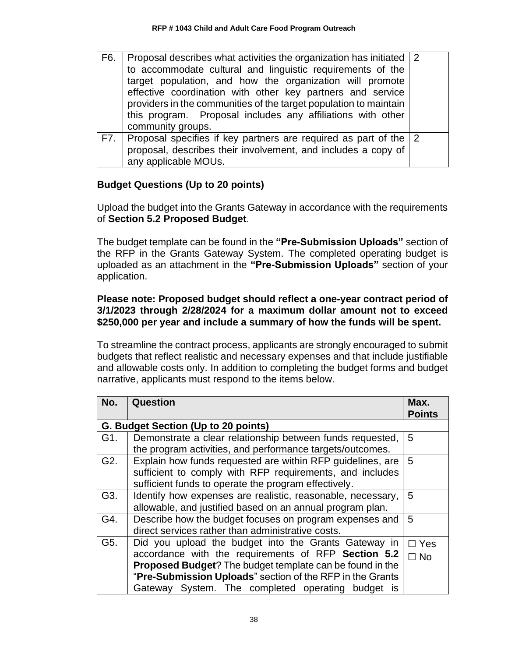| F6. | Proposal describes what activities the organization has initiated 2<br>to accommodate cultural and linguistic requirements of the<br>target population, and how the organization will promote<br>effective coordination with other key partners and service<br>providers in the communities of the target population to maintain<br>this program. Proposal includes any affiliations with other<br>community groups. |  |
|-----|----------------------------------------------------------------------------------------------------------------------------------------------------------------------------------------------------------------------------------------------------------------------------------------------------------------------------------------------------------------------------------------------------------------------|--|
|     | F7. Proposal specifies if key partners are required as part of the $ 2$<br>proposal, describes their involvement, and includes a copy of<br>any applicable MOUs.                                                                                                                                                                                                                                                     |  |

# **Budget Questions (Up to 20 points)**

Upload the budget into the Grants Gateway in accordance with the requirements of **Section 5.2 Proposed Budget**.

The budget template can be found in the **"Pre-Submission Uploads"** section of the RFP in the Grants Gateway System. The completed operating budget is uploaded as an attachment in the **"Pre-Submission Uploads"** section of your application.

### **Please note: Proposed budget should reflect a one-year contract period of 3/1/2023 through 2/28/2024 for a maximum dollar amount not to exceed \$250,000 per year and include a summary of how the funds will be spent.**

To streamline the contract process, applicants are strongly encouraged to submit budgets that reflect realistic and necessary expenses and that include justifiable and allowable costs only. In addition to completing the budget forms and budget narrative, applicants must respond to the items below.

| No.                                 | Question                                                    | Max.          |
|-------------------------------------|-------------------------------------------------------------|---------------|
|                                     |                                                             | <b>Points</b> |
| G. Budget Section (Up to 20 points) |                                                             |               |
| G1.                                 | Demonstrate a clear relationship between funds requested,   | 5             |
|                                     | the program activities, and performance targets/outcomes.   |               |
| G2.                                 | Explain how funds requested are within RFP guidelines, are  | 5             |
|                                     | sufficient to comply with RFP requirements, and includes    |               |
|                                     | sufficient funds to operate the program effectively.        |               |
| G3.                                 | Identify how expenses are realistic, reasonable, necessary, | 5             |
|                                     | allowable, and justified based on an annual program plan.   |               |
| G4.                                 | Describe how the budget focuses on program expenses and     | 5             |
|                                     | direct services rather than administrative costs.           |               |
| G5.                                 | Did you upload the budget into the Grants Gateway in        | $\Box$ Yes    |
|                                     | accordance with the requirements of RFP Section 5.2         | $\Box$ No     |
|                                     | Proposed Budget? The budget template can be found in the    |               |
|                                     | "Pre-Submission Uploads" section of the RFP in the Grants   |               |
|                                     | Gateway System. The completed operating budget is           |               |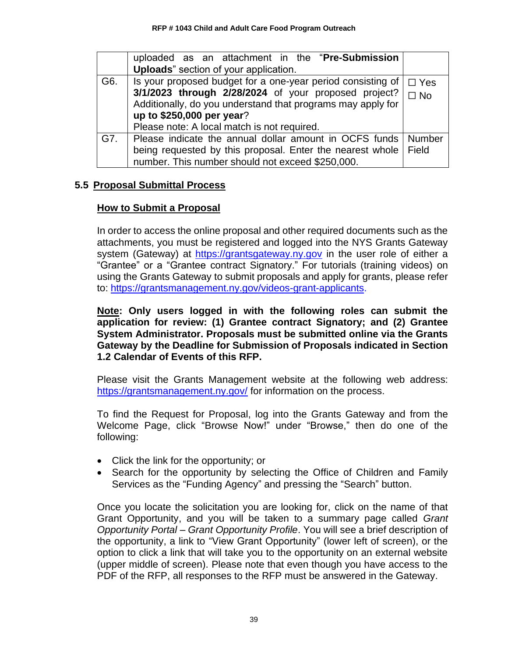|     | uploaded as an attachment in the "Pre-Submission                  |            |
|-----|-------------------------------------------------------------------|------------|
|     | <b>Uploads</b> " section of your application.                     |            |
| G6. | Is your proposed budget for a one-year period consisting of       | $\Box$ Yes |
|     | 3/1/2023 through 2/28/2024 of your proposed project?              | $\Box$ No  |
|     | Additionally, do you understand that programs may apply for       |            |
|     | up to \$250,000 per year?                                         |            |
|     | Please note: A local match is not required.                       |            |
| G7. | Please indicate the annual dollar amount in OCFS funds   Number   |            |
|     | being requested by this proposal. Enter the nearest whole   Field |            |
|     | number. This number should not exceed \$250,000.                  |            |

### <span id="page-41-0"></span>**5.5 Proposal Submittal Process**

### **How to Submit a Proposal**

In order to access the online proposal and other required documents such as the attachments, you must be registered and logged into the NYS Grants Gateway system (Gateway) at [https://grantsgateway.ny.gov](https://grantsgateway.ny.gov/) in the user role of either a "Grantee" or a "Grantee contract Signatory." For tutorials (training videos) on using the Grants Gateway to submit proposals and apply for grants, please refer to: [https://grantsmanagement.ny.gov/videos-grant-applicants.](https://grantsmanagement.ny.gov/videos-grant-applicants)

**Note: Only users logged in with the following roles can submit the application for review: (1) Grantee contract Signatory; and (2) Grantee System Administrator. Proposals must be submitted online via the Grants Gateway by the Deadline for Submission of Proposals indicated in Section 1.2 Calendar of Events of this RFP.**

Please visit the Grants Management website at the following web address: <https://grantsmanagement.ny.gov/> for information on the process.

To find the Request for Proposal, log into the Grants Gateway and from the Welcome Page, click "Browse Now!" under "Browse," then do one of the following:

- Click the link for the opportunity; or
- Search for the opportunity by selecting the Office of Children and Family Services as the "Funding Agency" and pressing the "Search" button.

Once you locate the solicitation you are looking for, click on the name of that Grant Opportunity, and you will be taken to a summary page called *Grant Opportunity Portal – Grant Opportunity Profile*. You will see a brief description of the opportunity, a link to "View Grant Opportunity" (lower left of screen), or the option to click a link that will take you to the opportunity on an external website (upper middle of screen). Please note that even though you have access to the PDF of the RFP, all responses to the RFP must be answered in the Gateway.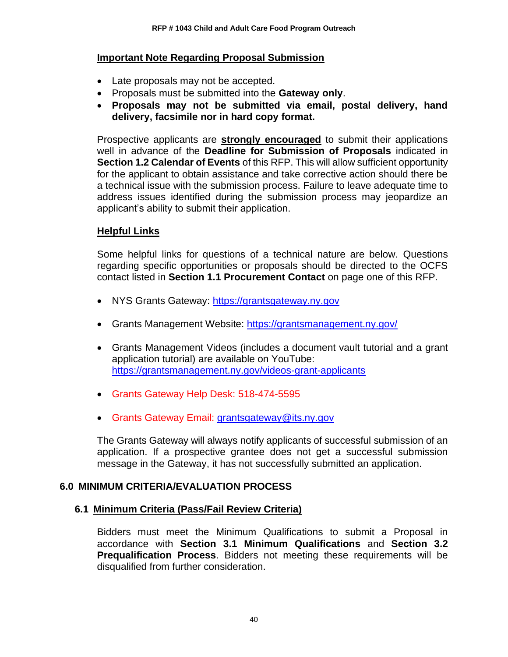### **Important Note Regarding Proposal Submission**

- Late proposals may not be accepted.
- Proposals must be submitted into the **Gateway only**.
- **Proposals may not be submitted via email, postal delivery, hand delivery, facsimile nor in hard copy format.**

Prospective applicants are **strongly encouraged** to submit their applications well in advance of the **Deadline for Submission of Proposals** indicated in **Section 1.2 Calendar of Events** of this RFP. This will allow sufficient opportunity for the applicant to obtain assistance and take corrective action should there be a technical issue with the submission process. Failure to leave adequate time to address issues identified during the submission process may jeopardize an applicant's ability to submit their application.

### **Helpful Links**

Some helpful links for questions of a technical nature are below. Questions regarding specific opportunities or proposals should be directed to the OCFS contact listed in **Section 1.1 Procurement Contact** on page one of this RFP.

- NYS Grants Gateway: [https://grantsgateway.ny.gov](https://grantsgateway.ny.gov/)
- Grants Management Website:<https://grantsmanagement.ny.gov/>
- Grants Management Videos (includes a document vault tutorial and a grant application tutorial) are available on YouTube: <https://grantsmanagement.ny.gov/videos-grant-applicants>
- Grants Gateway Help Desk: 518-474-5595
- Grants Gateway Email: [grantsgateway@its.ny.gov](mailto:grantsgateway@its.ny.gov)

The Grants Gateway will always notify applicants of successful submission of an application. If a prospective grantee does not get a successful submission message in the Gateway, it has not successfully submitted an application.

### <span id="page-42-0"></span>**6.0 MINIMUM CRITERIA/EVALUATION PROCESS**

### <span id="page-42-1"></span>**6.1 Minimum Criteria (Pass/Fail Review Criteria)**

Bidders must meet the Minimum Qualifications to submit a Proposal in accordance with **Section 3.1 Minimum Qualifications** and **Section 3.2 Prequalification Process**. Bidders not meeting these requirements will be disqualified from further consideration.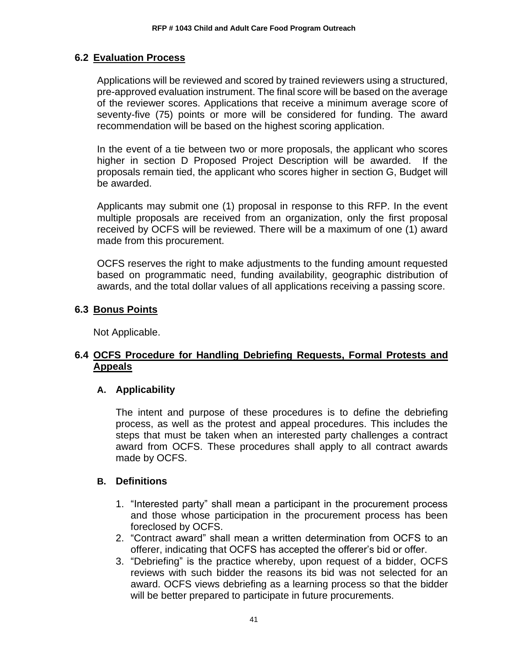### <span id="page-43-0"></span>**6.2 Evaluation Process**

Applications will be reviewed and scored by trained reviewers using a structured, pre-approved evaluation instrument. The final score will be based on the average of the reviewer scores. Applications that receive a minimum average score of seventy-five (75) points or more will be considered for funding. The award recommendation will be based on the highest scoring application.

In the event of a tie between two or more proposals, the applicant who scores higher in section D Proposed Project Description will be awarded. If the proposals remain tied, the applicant who scores higher in section G, Budget will be awarded.

Applicants may submit one (1) proposal in response to this RFP. In the event multiple proposals are received from an organization, only the first proposal received by OCFS will be reviewed. There will be a maximum of one (1) award made from this procurement.

OCFS reserves the right to make adjustments to the funding amount requested based on programmatic need, funding availability, geographic distribution of awards, and the total dollar values of all applications receiving a passing score.

### <span id="page-43-1"></span>**6.3 Bonus Points**

Not Applicable.

# <span id="page-43-2"></span>**6.4 OCFS Procedure for Handling Debriefing Requests, Formal Protests and Appeals**

### **A. Applicability**

The intent and purpose of these procedures is to define the debriefing process, as well as the protest and appeal procedures. This includes the steps that must be taken when an interested party challenges a contract award from OCFS. These procedures shall apply to all contract awards made by OCFS.

### **B. Definitions**

- 1. "Interested party" shall mean a participant in the procurement process and those whose participation in the procurement process has been foreclosed by OCFS.
- 2. "Contract award" shall mean a written determination from OCFS to an offerer, indicating that OCFS has accepted the offerer's bid or offer.
- 3. "Debriefing" is the practice whereby, upon request of a bidder, OCFS reviews with such bidder the reasons its bid was not selected for an award. OCFS views debriefing as a learning process so that the bidder will be better prepared to participate in future procurements.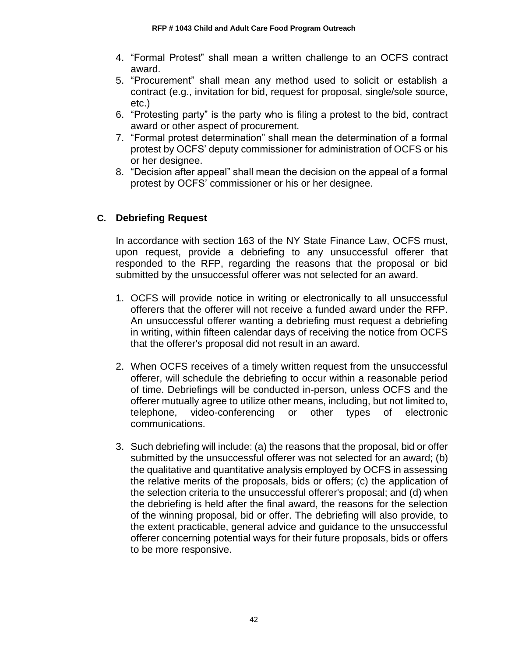- 4. "Formal Protest" shall mean a written challenge to an OCFS contract award.
- 5. "Procurement" shall mean any method used to solicit or establish a contract (e.g., invitation for bid, request for proposal, single/sole source, etc.)
- 6. "Protesting party" is the party who is filing a protest to the bid, contract award or other aspect of procurement.
- 7. "Formal protest determination" shall mean the determination of a formal protest by OCFS' deputy commissioner for administration of OCFS or his or her designee.
- 8. "Decision after appeal" shall mean the decision on the appeal of a formal protest by OCFS' commissioner or his or her designee.

# **C. Debriefing Request**

In accordance with section 163 of the NY State Finance Law, OCFS must, upon request, provide a debriefing to any unsuccessful offerer that responded to the RFP, regarding the reasons that the proposal or bid submitted by the unsuccessful offerer was not selected for an award.

- 1. OCFS will provide notice in writing or electronically to all unsuccessful offerers that the offerer will not receive a funded award under the RFP. An unsuccessful offerer wanting a debriefing must request a debriefing in writing, within fifteen calendar days of receiving the notice from OCFS that the offerer's proposal did not result in an award.
- 2. When OCFS receives of a timely written request from the unsuccessful offerer, will schedule the debriefing to occur within a reasonable period of time. Debriefings will be conducted in-person, unless OCFS and the offerer mutually agree to utilize other means, including, but not limited to, telephone, video-conferencing or other types of electronic communications.
- 3. Such debriefing will include: (a) the reasons that the proposal, bid or offer submitted by the unsuccessful offerer was not selected for an award; (b) the qualitative and quantitative analysis employed by OCFS in assessing the relative merits of the proposals, bids or offers; (c) the application of the selection criteria to the unsuccessful offerer's proposal; and (d) when the debriefing is held after the final award, the reasons for the selection of the winning proposal, bid or offer. The debriefing will also provide, to the extent practicable, general advice and guidance to the unsuccessful offerer concerning potential ways for their future proposals, bids or offers to be more responsive.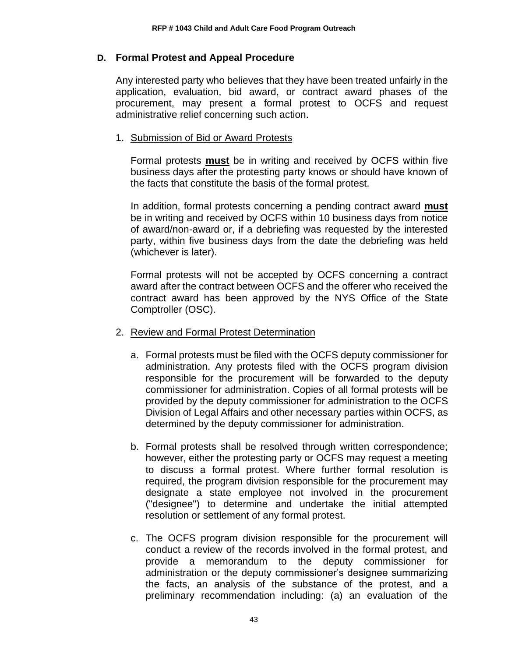#### **D. Formal Protest and Appeal Procedure**

Any interested party who believes that they have been treated unfairly in the application, evaluation, bid award, or contract award phases of the procurement, may present a formal protest to OCFS and request administrative relief concerning such action.

#### 1. Submission of Bid or Award Protests

Formal protests **must** be in writing and received by OCFS within five business days after the protesting party knows or should have known of the facts that constitute the basis of the formal protest.

In addition, formal protests concerning a pending contract award **must** be in writing and received by OCFS within 10 business days from notice of award/non-award or, if a debriefing was requested by the interested party, within five business days from the date the debriefing was held (whichever is later).

Formal protests will not be accepted by OCFS concerning a contract award after the contract between OCFS and the offerer who received the contract award has been approved by the NYS Office of the State Comptroller (OSC).

#### 2. Review and Formal Protest Determination

- a. Formal protests must be filed with the OCFS deputy commissioner for administration. Any protests filed with the OCFS program division responsible for the procurement will be forwarded to the deputy commissioner for administration. Copies of all formal protests will be provided by the deputy commissioner for administration to the OCFS Division of Legal Affairs and other necessary parties within OCFS, as determined by the deputy commissioner for administration.
- b. Formal protests shall be resolved through written correspondence; however, either the protesting party or OCFS may request a meeting to discuss a formal protest. Where further formal resolution is required, the program division responsible for the procurement may designate a state employee not involved in the procurement ("designee") to determine and undertake the initial attempted resolution or settlement of any formal protest.
- c. The OCFS program division responsible for the procurement will conduct a review of the records involved in the formal protest, and provide a memorandum to the deputy commissioner for administration or the deputy commissioner's designee summarizing the facts, an analysis of the substance of the protest, and a preliminary recommendation including: (a) an evaluation of the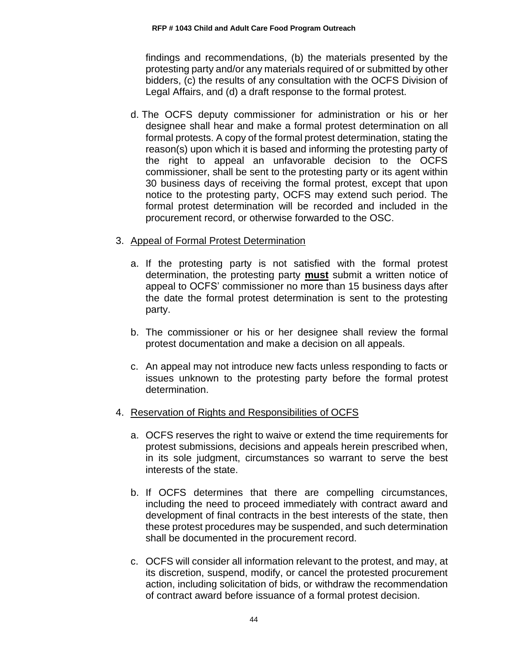findings and recommendations, (b) the materials presented by the protesting party and/or any materials required of or submitted by other bidders, (c) the results of any consultation with the OCFS Division of Legal Affairs, and (d) a draft response to the formal protest.

d. The OCFS deputy commissioner for administration or his or her designee shall hear and make a formal protest determination on all formal protests. A copy of the formal protest determination, stating the reason(s) upon which it is based and informing the protesting party of the right to appeal an unfavorable decision to the OCFS commissioner, shall be sent to the protesting party or its agent within 30 business days of receiving the formal protest, except that upon notice to the protesting party, OCFS may extend such period. The formal protest determination will be recorded and included in the procurement record, or otherwise forwarded to the OSC.

### 3. Appeal of Formal Protest Determination

- a. If the protesting party is not satisfied with the formal protest determination, the protesting party **must** submit a written notice of appeal to OCFS' commissioner no more than 15 business days after the date the formal protest determination is sent to the protesting party.
- b. The commissioner or his or her designee shall review the formal protest documentation and make a decision on all appeals.
- c. An appeal may not introduce new facts unless responding to facts or issues unknown to the protesting party before the formal protest determination.
- 4. Reservation of Rights and Responsibilities of OCFS
	- a. OCFS reserves the right to waive or extend the time requirements for protest submissions, decisions and appeals herein prescribed when, in its sole judgment, circumstances so warrant to serve the best interests of the state.
	- b. If OCFS determines that there are compelling circumstances, including the need to proceed immediately with contract award and development of final contracts in the best interests of the state, then these protest procedures may be suspended, and such determination shall be documented in the procurement record.
	- c. OCFS will consider all information relevant to the protest, and may, at its discretion, suspend, modify, or cancel the protested procurement action, including solicitation of bids, or withdraw the recommendation of contract award before issuance of a formal protest decision.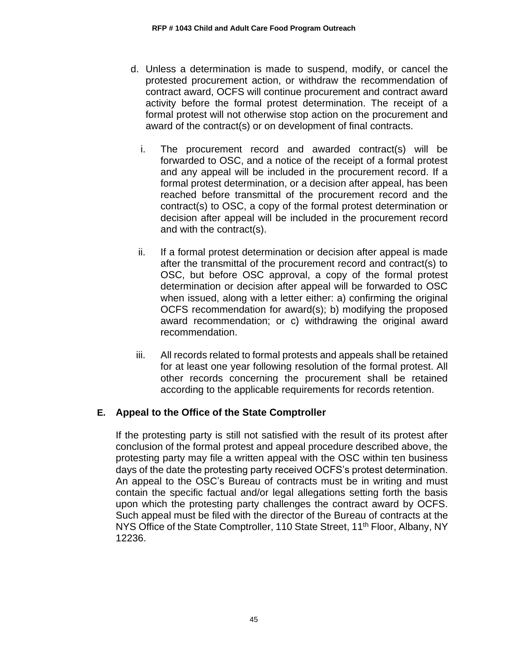- d. Unless a determination is made to suspend, modify, or cancel the protested procurement action, or withdraw the recommendation of contract award, OCFS will continue procurement and contract award activity before the formal protest determination. The receipt of a formal protest will not otherwise stop action on the procurement and award of the contract(s) or on development of final contracts.
	- i. The procurement record and awarded contract(s) will be forwarded to OSC, and a notice of the receipt of a formal protest and any appeal will be included in the procurement record. If a formal protest determination, or a decision after appeal, has been reached before transmittal of the procurement record and the contract(s) to OSC, a copy of the formal protest determination or decision after appeal will be included in the procurement record and with the contract(s).
	- ii. If a formal protest determination or decision after appeal is made after the transmittal of the procurement record and contract(s) to OSC, but before OSC approval, a copy of the formal protest determination or decision after appeal will be forwarded to OSC when issued, along with a letter either: a) confirming the original OCFS recommendation for award(s); b) modifying the proposed award recommendation; or c) withdrawing the original award recommendation.
	- iii. All records related to formal protests and appeals shall be retained for at least one year following resolution of the formal protest. All other records concerning the procurement shall be retained according to the applicable requirements for records retention.

# **E. Appeal to the Office of the State Comptroller**

If the protesting party is still not satisfied with the result of its protest after conclusion of the formal protest and appeal procedure described above, the protesting party may file a written appeal with the OSC within ten business days of the date the protesting party received OCFS's protest determination. An appeal to the OSC's Bureau of contracts must be in writing and must contain the specific factual and/or legal allegations setting forth the basis upon which the protesting party challenges the contract award by OCFS. Such appeal must be filed with the director of the Bureau of contracts at the NYS Office of the State Comptroller, 110 State Street, 11<sup>th</sup> Floor, Albany, NY 12236.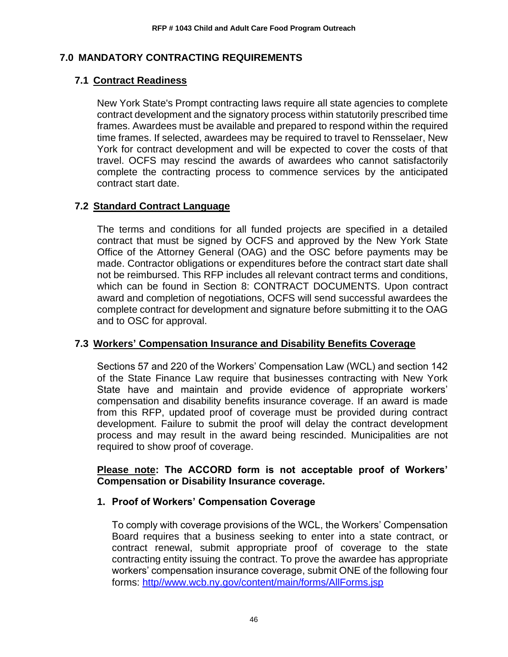# <span id="page-48-0"></span>**7.0 MANDATORY CONTRACTING REQUIREMENTS**

# <span id="page-48-1"></span>**7.1 Contract Readiness**

New York State's Prompt contracting laws require all state agencies to complete contract development and the signatory process within statutorily prescribed time frames. Awardees must be available and prepared to respond within the required time frames. If selected, awardees may be required to travel to Rensselaer, New York for contract development and will be expected to cover the costs of that travel. OCFS may rescind the awards of awardees who cannot satisfactorily complete the contracting process to commence services by the anticipated contract start date.

# <span id="page-48-2"></span>**7.2 Standard Contract Language**

The terms and conditions for all funded projects are specified in a detailed contract that must be signed by OCFS and approved by the New York State Office of the Attorney General (OAG) and the OSC before payments may be made. Contractor obligations or expenditures before the contract start date shall not be reimbursed. This RFP includes all relevant contract terms and conditions, which can be found in Section 8: CONTRACT DOCUMENTS. Upon contract award and completion of negotiations, OCFS will send successful awardees the complete contract for development and signature before submitting it to the OAG and to OSC for approval.

# <span id="page-48-3"></span>**7.3 Workers' Compensation Insurance and Disability Benefits Coverage**

Sections 57 and 220 of the Workers' Compensation Law (WCL) and section 142 of the State Finance Law require that businesses contracting with New York State have and maintain and provide evidence of appropriate workers' compensation and disability benefits insurance coverage. If an award is made from this RFP, updated proof of coverage must be provided during contract development. Failure to submit the proof will delay the contract development process and may result in the award being rescinded. Municipalities are not required to show proof of coverage.

### **Please note: The ACCORD form is not acceptable proof of Workers' Compensation or Disability Insurance coverage.**

### **1. Proof of Workers' Compensation Coverage**

To comply with coverage provisions of the WCL, the Workers' Compensation Board requires that a business seeking to enter into a state contract, or contract renewal, submit appropriate proof of coverage to the state contracting entity issuing the contract. To prove the awardee has appropriate workers' compensation insurance coverage, submit ONE of the following four forms: [http//www.wcb.ny.gov/content/main/forms/AllForms.jsp](http://www.wcb.ny.gov/content/main/forms/AllForms.jsp)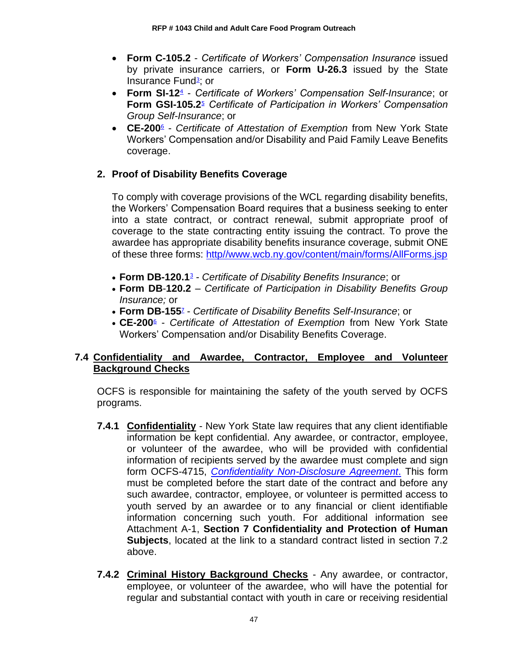- **Form C-105.2** *Certificate of Workers' Compensation Insurance* issued by private insurance carriers, or **Form U-26.3** issued by the State Insurance Fun[d](https://www.osc.state.ny.us/agencies/guide/MyWebHelp/Content/XI/18/G.htm#3)<sup>3</sup>; or
- **Form SI-1[2](https://www.osc.state.ny.us/agencies/guide/MyWebHelp/Content/XI/18/G.htm#4)**<sup>4</sup> *Certificate of Workers' Compensation Self-Insurance*; or **Form GSI-105.[2](https://www.osc.state.ny.us/agencies/guide/MyWebHelp/Content/XI/18/G.htm#5)**<sup>5</sup> *Certificate of Participation in Workers' Compensation Group Self-Insurance*; or
- **CE-20[0](https://www.osc.state.ny.us/agencies/guide/MyWebHelp/Content/XI/18/G.htm#6)**<sup>6</sup> *Certificate of Attestation of Exemption* from New York State Workers' Compensation and/or Disability and Paid Family Leave Benefits coverage.

# **2. Proof of Disability Benefits Coverage**

To comply with coverage provisions of the WCL regarding disability benefits, the Workers' Compensation Board requires that a business seeking to enter into a state contract, or contract renewal, submit appropriate proof of coverage to the state contracting entity issuing the contract. To prove the awardee has appropriate disability benefits insurance coverage, submit ONE of these three forms: [http//www.wcb.ny.gov/content/main/forms/AllForms.jsp](http://www.wcb.ny.gov/content/main/forms/AllForms.jsp)

- **Form DB-120.[1](https://www.osc.state.ny.us/agencies/guide/MyWebHelp/Content/XI/18/G.htm#3)**<sup>3</sup> *Certificate of Disability Benefits Insurance*; or
- **Form DB**-**120.2** *Certificate of Participation in Disability Benefits Group Insurance;* or
- **Form DB-15[5](https://www.osc.state.ny.us/agencies/guide/MyWebHelp/Content/XI/18/G.htm#7)**<sup>7</sup> *Certificate of Disability Benefits Self-Insurance*; or
- **CE-20[0](https://www.osc.state.ny.us/agencies/guide/MyWebHelp/Content/XI/18/G.htm#6)**<sup>6</sup> *Certificate of Attestation of Exemption* from New York State Workers' Compensation and/or Disability Benefits Coverage.

# <span id="page-49-0"></span>**7.4 Confidentiality and Awardee, Contractor, Employee and Volunteer Background Checks**

OCFS is responsible for maintaining the safety of the youth served by OCFS programs.

- **7.4.1 Confidentiality** New York State law requires that any client identifiable information be kept confidential. Any awardee, or contractor, employee, or volunteer of the awardee, who will be provided with confidential information of recipients served by the awardee must complete and sign form OCFS-4715, *[Confidentiality Non-Disclosure Agreement](https://ocfs.ny.gov/forms/ocfs/OCFS-4715.docx)*. This form must be completed before the start date of the contract and before any such awardee, contractor, employee, or volunteer is permitted access to youth served by an awardee or to any financial or client identifiable information concerning such youth. For additional information see Attachment A-1, **Section 7 Confidentiality and Protection of Human Subjects**, located at the link to a standard contract listed in section 7.2 above.
- **7.4.2 Criminal History Background Checks** Any awardee, or contractor, employee, or volunteer of the awardee, who will have the potential for regular and substantial contact with youth in care or receiving residential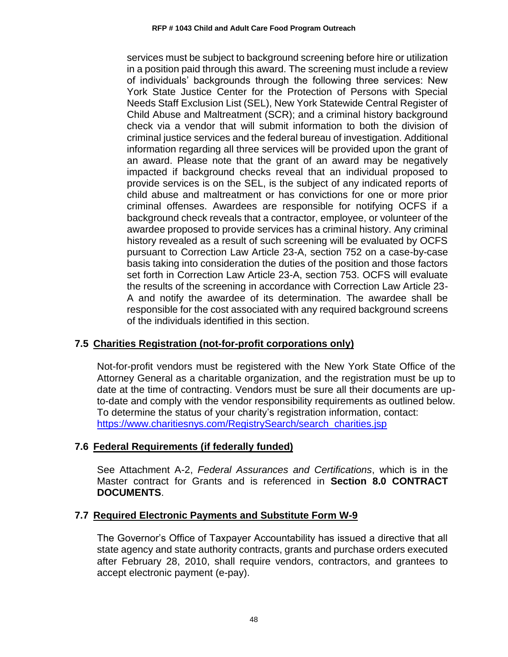services must be subject to background screening before hire or utilization in a position paid through this award. The screening must include a review of individuals' backgrounds through the following three services: New York State Justice Center for the Protection of Persons with Special Needs Staff Exclusion List (SEL), New York Statewide Central Register of Child Abuse and Maltreatment (SCR); and a criminal history background check via a vendor that will submit information to both the division of criminal justice services and the federal bureau of investigation. Additional information regarding all three services will be provided upon the grant of an award. Please note that the grant of an award may be negatively impacted if background checks reveal that an individual proposed to provide services is on the SEL, is the subject of any indicated reports of child abuse and maltreatment or has convictions for one or more prior criminal offenses. Awardees are responsible for notifying OCFS if a background check reveals that a contractor, employee, or volunteer of the awardee proposed to provide services has a criminal history. Any criminal history revealed as a result of such screening will be evaluated by OCFS pursuant to Correction Law Article 23-A, section 752 on a case-by-case basis taking into consideration the duties of the position and those factors set forth in Correction Law Article 23-A, section 753. OCFS will evaluate the results of the screening in accordance with Correction Law Article 23- A and notify the awardee of its determination. The awardee shall be responsible for the cost associated with any required background screens of the individuals identified in this section.

# <span id="page-50-0"></span>**7.5 Charities Registration (not-for-profit corporations only)**

Not-for-profit vendors must be registered with the New York State Office of the Attorney General as a charitable organization, and the registration must be up to date at the time of contracting. Vendors must be sure all their documents are upto-date and comply with the vendor responsibility requirements as outlined below. To determine the status of your charity's registration information, contact: [https://www.charitiesnys.com/RegistrySearch/search\\_charities.jsp](https://www.charitiesnys.com/RegistrySearch/search_charities.jsp)

# <span id="page-50-1"></span>**7.6 Federal Requirements (if federally funded)**

See Attachment A-2, *Federal Assurances and Certifications*, which is in the Master contract for Grants and is referenced in **Section 8.0 CONTRACT DOCUMENTS**.

# <span id="page-50-2"></span>**7.7 Required Electronic Payments and Substitute Form W-9**

The Governor's Office of Taxpayer Accountability has issued a directive that all state agency and state authority contracts, grants and purchase orders executed after February 28, 2010, shall require vendors, contractors, and grantees to accept electronic payment (e-pay).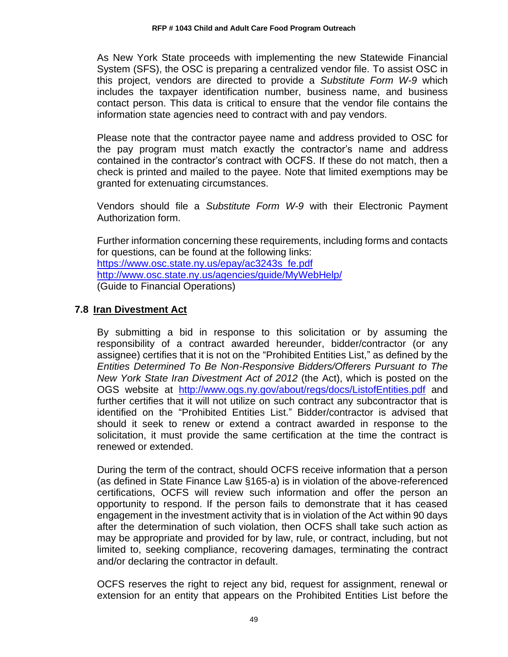As New York State proceeds with implementing the new Statewide Financial System (SFS), the OSC is preparing a centralized vendor file. To assist OSC in this project, vendors are directed to provide a *Substitute Form W-9* which includes the taxpayer identification number, business name, and business contact person. This data is critical to ensure that the vendor file contains the information state agencies need to contract with and pay vendors.

Please note that the contractor payee name and address provided to OSC for the pay program must match exactly the contractor's name and address contained in the contractor's contract with OCFS. If these do not match, then a check is printed and mailed to the payee. Note that limited exemptions may be granted for extenuating circumstances.

Vendors should file a *Substitute Form W-9* with their Electronic Payment Authorization form.

Further information concerning these requirements, including forms and contacts for questions, can be found at the following links: [https://www.osc.state.ny.us/epay/ac3243s\\_fe.pdf](https://www.osc.state.ny.us/epay/ac3243s_fe.pdf) <http://www.osc.state.ny.us/agencies/guide/MyWebHelp/> (Guide to Financial Operations)

### <span id="page-51-0"></span>**7.8 Iran Divestment Act**

By submitting a bid in response to this solicitation or by assuming the responsibility of a contract awarded hereunder, bidder/contractor (or any assignee) certifies that it is not on the "Prohibited Entities List," as defined by the *Entities Determined To Be Non-Responsive Bidders/Offerers Pursuant to The New York State Iran Divestment Act of 2012* (the Act), which is posted on the OGS website at <http://www.ogs.ny.gov/about/regs/docs/ListofEntities.pdf> and further certifies that it will not utilize on such contract any subcontractor that is identified on the "Prohibited Entities List." Bidder/contractor is advised that should it seek to renew or extend a contract awarded in response to the solicitation, it must provide the same certification at the time the contract is renewed or extended.

During the term of the contract, should OCFS receive information that a person (as defined in State Finance Law §165-a) is in violation of the above-referenced certifications, OCFS will review such information and offer the person an opportunity to respond. If the person fails to demonstrate that it has ceased engagement in the investment activity that is in violation of the Act within 90 days after the determination of such violation, then OCFS shall take such action as may be appropriate and provided for by law, rule, or contract, including, but not limited to, seeking compliance, recovering damages, terminating the contract and/or declaring the contractor in default.

OCFS reserves the right to reject any bid, request for assignment, renewal or extension for an entity that appears on the Prohibited Entities List before the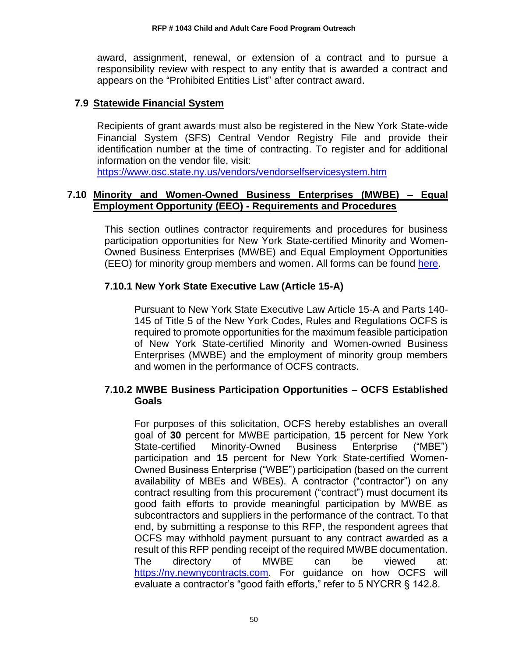award, assignment, renewal, or extension of a contract and to pursue a responsibility review with respect to any entity that is awarded a contract and appears on the "Prohibited Entities List" after contract award.

#### <span id="page-52-0"></span>**7.9 Statewide Financial System**

Recipients of grant awards must also be registered in the New York State-wide Financial System (SFS) Central Vendor Registry File and provide their identification number at the time of contracting. To register and for additional information on the vendor file, visit:

<https://www.osc.state.ny.us/vendors/vendorselfservicesystem.htm>

#### <span id="page-52-1"></span>**7.10 Minority and Women-Owned Business Enterprises (MWBE) – Equal Employment Opportunity (EEO) - Requirements and Procedures**

This section outlines contractor requirements and procedures for business participation opportunities for New York State-certified Minority and Women-Owned Business Enterprises (MWBE) and Equal Employment Opportunities (EEO) for minority group members and women. All forms can be found [here.](https://ocfs.ny.gov/main/documents/docs.asp?document_type=1&category_number=44)

### **7.10.1 New York State Executive Law (Article 15-A)**

Pursuant to New York State Executive Law Article 15-A and Parts 140- 145 of Title 5 of the New York Codes, Rules and Regulations OCFS is required to promote opportunities for the maximum feasible participation of New York State-certified Minority and Women-owned Business Enterprises (MWBE) and the employment of minority group members and women in the performance of OCFS contracts.

### **7.10.2 MWBE Business Participation Opportunities – OCFS Established Goals**

For purposes of this solicitation, OCFS hereby establishes an overall goal of **30** percent for MWBE participation, **15** percent for New York State-certified Minority-Owned Business Enterprise ("MBE") participation and **15** percent for New York State-certified Women-Owned Business Enterprise ("WBE") participation (based on the current availability of MBEs and WBEs). A contractor ("contractor") on any contract resulting from this procurement ("contract") must document its good faith efforts to provide meaningful participation by MWBE as subcontractors and suppliers in the performance of the contract. To that end, by submitting a response to this RFP, the respondent agrees that OCFS may withhold payment pursuant to any contract awarded as a result of this RFP pending receipt of the required MWBE documentation. The directory of MWBE can be viewed at: [https://ny.newnycontracts.com.](https://ny.newnycontracts.com/) For guidance on how OCFS will evaluate a contractor's "good faith efforts," refer to 5 NYCRR § 142.8.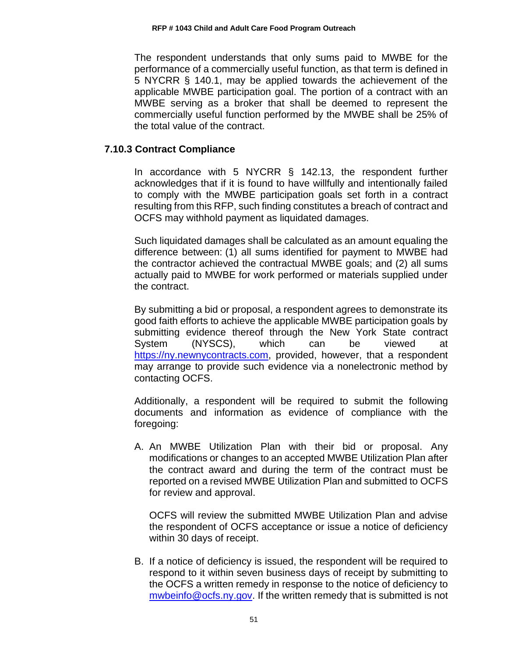The respondent understands that only sums paid to MWBE for the performance of a commercially useful function, as that term is defined in 5 NYCRR § 140.1, may be applied towards the achievement of the applicable MWBE participation goal. The portion of a contract with an MWBE serving as a broker that shall be deemed to represent the commercially useful function performed by the MWBE shall be 25% of the total value of the contract.

### **7.10.3 Contract Compliance**

In accordance with 5 NYCRR § 142.13, the respondent further acknowledges that if it is found to have willfully and intentionally failed to comply with the MWBE participation goals set forth in a contract resulting from this RFP, such finding constitutes a breach of contract and OCFS may withhold payment as liquidated damages.

Such liquidated damages shall be calculated as an amount equaling the difference between: (1) all sums identified for payment to MWBE had the contractor achieved the contractual MWBE goals; and (2) all sums actually paid to MWBE for work performed or materials supplied under the contract.

By submitting a bid or proposal, a respondent agrees to demonstrate its good faith efforts to achieve the applicable MWBE participation goals by submitting evidence thereof through the New York State contract System (NYSCS), which can be viewed at [https://ny.newnycontracts.com,](https://ny.newnycontracts.com/) provided, however, that a respondent may arrange to provide such evidence via a nonelectronic method by contacting OCFS.

Additionally, a respondent will be required to submit the following documents and information as evidence of compliance with the foregoing:

A. An MWBE Utilization Plan with their bid or proposal. Any modifications or changes to an accepted MWBE Utilization Plan after the contract award and during the term of the contract must be reported on a revised MWBE Utilization Plan and submitted to OCFS for review and approval.

OCFS will review the submitted MWBE Utilization Plan and advise the respondent of OCFS acceptance or issue a notice of deficiency within 30 days of receipt.

B. If a notice of deficiency is issued, the respondent will be required to respond to it within seven business days of receipt by submitting to the OCFS a written remedy in response to the notice of deficiency to [mwbeinfo@ocfs.ny.gov.](mailto:mwbeinfo@ocfs.ny.gov) If the written remedy that is submitted is not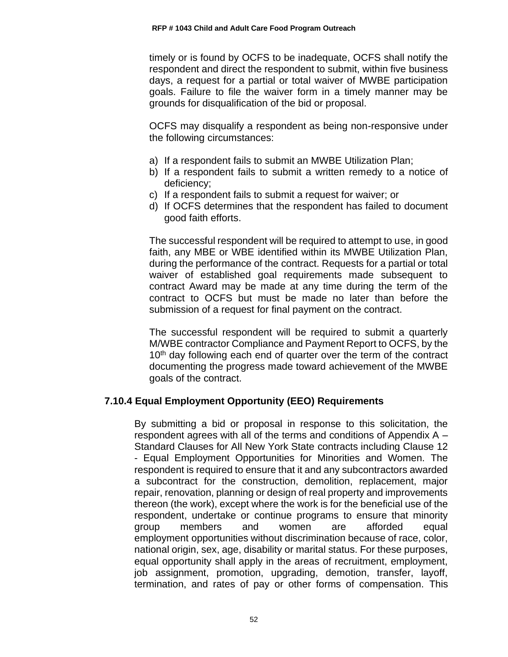timely or is found by OCFS to be inadequate, OCFS shall notify the respondent and direct the respondent to submit, within five business days, a request for a partial or total waiver of MWBE participation goals. Failure to file the waiver form in a timely manner may be grounds for disqualification of the bid or proposal.

OCFS may disqualify a respondent as being non-responsive under the following circumstances:

- a) If a respondent fails to submit an MWBE Utilization Plan;
- b) If a respondent fails to submit a written remedy to a notice of deficiency;
- c) If a respondent fails to submit a request for waiver; or
- d) If OCFS determines that the respondent has failed to document good faith efforts.

The successful respondent will be required to attempt to use, in good faith, any MBE or WBE identified within its MWBE Utilization Plan, during the performance of the contract. Requests for a partial or total waiver of established goal requirements made subsequent to contract Award may be made at any time during the term of the contract to OCFS but must be made no later than before the submission of a request for final payment on the contract.

The successful respondent will be required to submit a quarterly M/WBE contractor Compliance and Payment Report to OCFS, by the 10<sup>th</sup> day following each end of quarter over the term of the contract documenting the progress made toward achievement of the MWBE goals of the contract.

### **7.10.4 Equal Employment Opportunity (EEO) Requirements**

By submitting a bid or proposal in response to this solicitation, the respondent agrees with all of the terms and conditions of Appendix A – Standard Clauses for All New York State contracts including Clause 12 - Equal Employment Opportunities for Minorities and Women. The respondent is required to ensure that it and any subcontractors awarded a subcontract for the construction, demolition, replacement, major repair, renovation, planning or design of real property and improvements thereon (the work), except where the work is for the beneficial use of the respondent, undertake or continue programs to ensure that minority group members and women are afforded equal employment opportunities without discrimination because of race, color, national origin, sex, age, disability or marital status. For these purposes, equal opportunity shall apply in the areas of recruitment, employment, job assignment, promotion, upgrading, demotion, transfer, layoff, termination, and rates of pay or other forms of compensation. This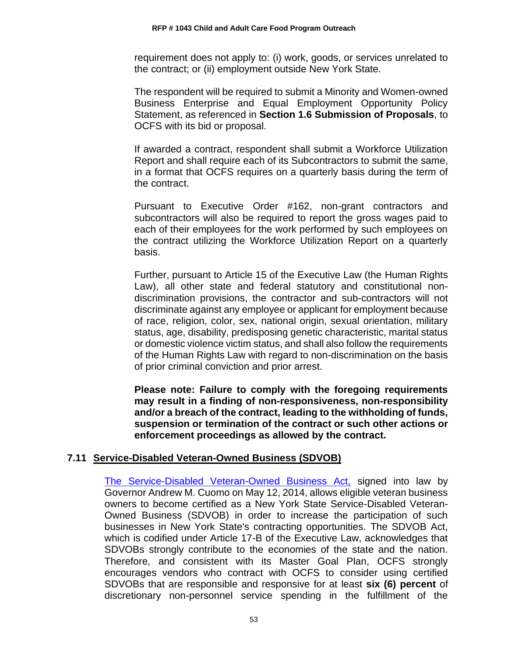requirement does not apply to: (i) work, goods, or services unrelated to the contract; or (ii) employment outside New York State.

The respondent will be required to submit a Minority and Women-owned Business Enterprise and Equal Employment Opportunity Policy Statement, as referenced in **Section 1.6 Submission of Proposals**, to OCFS with its bid or proposal.

If awarded a contract, respondent shall submit a Workforce Utilization Report and shall require each of its Subcontractors to submit the same, in a format that OCFS requires on a quarterly basis during the term of the contract.

Pursuant to Executive Order #162, non-grant contractors and subcontractors will also be required to report the gross wages paid to each of their employees for the work performed by such employees on the contract utilizing the Workforce Utilization Report on a quarterly basis.

Further, pursuant to Article 15 of the Executive Law (the Human Rights Law), all other state and federal statutory and constitutional nondiscrimination provisions, the contractor and sub-contractors will not discriminate against any employee or applicant for employment because of race, religion, color, sex, national origin, sexual orientation, military status, age, disability, predisposing genetic characteristic, marital status or domestic violence victim status, and shall also follow the requirements of the Human Rights Law with regard to non-discrimination on the basis of prior criminal conviction and prior arrest.

**Please note: Failure to comply with the foregoing requirements may result in a finding of non-responsiveness, non-responsibility and/or a breach of the contract, leading to the withholding of funds, suspension or termination of the contract or such other actions or enforcement proceedings as allowed by the contract.**

### <span id="page-55-0"></span>**7.11 Service-Disabled Veteran-Owned Business (SDVOB)**

[The Service-Disabled Veteran-Owned Business Act,](https://ogs.ny.gov/Veterans/) signed into law by Governor Andrew M. Cuomo on May 12, 2014, allows eligible veteran business owners to become certified as a New York State Service-Disabled Veteran-Owned Business (SDVOB) in order to increase the participation of such businesses in New York State's contracting opportunities. The SDVOB Act, which is codified under Article 17-B of the Executive Law, acknowledges that SDVOBs strongly contribute to the economies of the state and the nation. Therefore, and consistent with its Master Goal Plan, OCFS strongly encourages vendors who contract with OCFS to consider using certified SDVOBs that are responsible and responsive for at least **six (6) percent** of discretionary non-personnel service spending in the fulfillment of the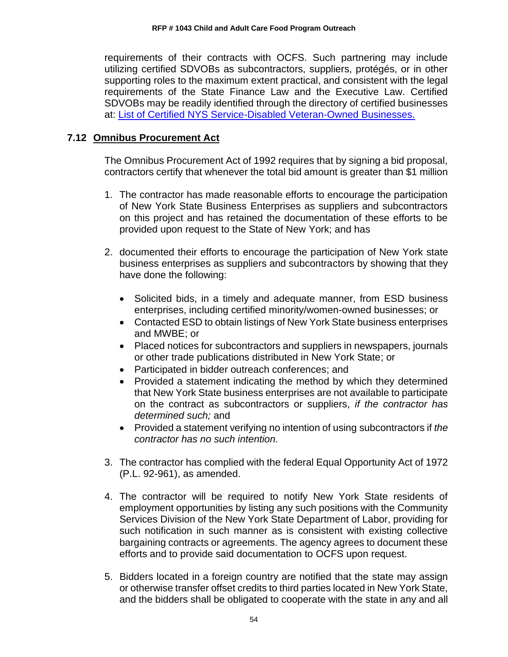requirements of their contracts with OCFS. Such partnering may include utilizing certified SDVOBs as subcontractors, suppliers, protégés, or in other supporting roles to the maximum extent practical, and consistent with the legal requirements of the State Finance Law and the Executive Law. Certified SDVOBs may be readily identified through the directory of certified businesses at: [List of Certified NYS Service-Disabled Veteran-Owned Businesses.](https://online.ogs.ny.gov/SDVOB/search)

### <span id="page-56-0"></span>**7.12 Omnibus Procurement Act**

The Omnibus Procurement Act of 1992 requires that by signing a bid proposal, contractors certify that whenever the total bid amount is greater than \$1 million

- 1. The contractor has made reasonable efforts to encourage the participation of New York State Business Enterprises as suppliers and subcontractors on this project and has retained the documentation of these efforts to be provided upon request to the State of New York; and has
- 2. documented their efforts to encourage the participation of New York state business enterprises as suppliers and subcontractors by showing that they have done the following:
	- Solicited bids, in a timely and adequate manner, from ESD business enterprises, including certified minority/women-owned businesses; or
	- Contacted ESD to obtain listings of New York State business enterprises and MWBE; or
	- Placed notices for subcontractors and suppliers in newspapers, journals or other trade publications distributed in New York State; or
	- Participated in bidder outreach conferences; and
	- Provided a statement indicating the method by which they determined that New York State business enterprises are not available to participate on the contract as subcontractors or suppliers, *if the contractor has determined such;* and
	- Provided a statement verifying no intention of using subcontractors if *the contractor has no such intention.*
- 3. The contractor has complied with the federal Equal Opportunity Act of 1972 (P.L. 92-961), as amended.
- 4. The contractor will be required to notify New York State residents of employment opportunities by listing any such positions with the Community Services Division of the New York State Department of Labor, providing for such notification in such manner as is consistent with existing collective bargaining contracts or agreements. The agency agrees to document these efforts and to provide said documentation to OCFS upon request.
- 5. Bidders located in a foreign country are notified that the state may assign or otherwise transfer offset credits to third parties located in New York State, and the bidders shall be obligated to cooperate with the state in any and all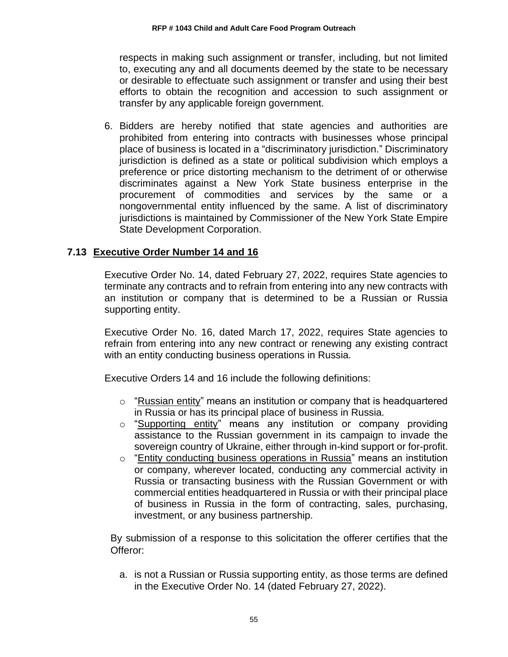respects in making such assignment or transfer, including, but not limited to, executing any and all documents deemed by the state to be necessary or desirable to effectuate such assignment or transfer and using their best efforts to obtain the recognition and accession to such assignment or transfer by any applicable foreign government.

6. Bidders are hereby notified that state agencies and authorities are prohibited from entering into contracts with businesses whose principal place of business is located in a "discriminatory jurisdiction." Discriminatory jurisdiction is defined as a state or political subdivision which employs a preference or price distorting mechanism to the detriment of or otherwise discriminates against a New York State business enterprise in the procurement of commodities and services by the same or a nongovernmental entity influenced by the same. A list of discriminatory jurisdictions is maintained by Commissioner of the New York State Empire State Development Corporation.

# <span id="page-57-0"></span>**7.13 Executive Order Number 14 and 16**

Executive Order No. 14, dated February 27, 2022, requires State agencies to terminate any contracts and to refrain from entering into any new contracts with an institution or company that is determined to be a Russian or Russia supporting entity.

Executive Order No. 16, dated March 17, 2022, requires State agencies to refrain from entering into any new contract or renewing any existing contract with an entity conducting business operations in Russia.

Executive Orders 14 and 16 include the following definitions:

- $\circ$  "Russian entity" means an institution or company that is headquartered in Russia or has its principal place of business in Russia.
- o "Supporting entity" means any institution or company providing assistance to the Russian government in its campaign to invade the sovereign country of Ukraine, either through in-kind support or for-profit.
- o "Entity conducting business operations in Russia" means an institution or company, wherever located, conducting any commercial activity in Russia or transacting business with the Russian Government or with commercial entities headquartered in Russia or with their principal place of business in Russia in the form of contracting, sales, purchasing, investment, or any business partnership.

By submission of a response to this solicitation the offerer certifies that the Offeror:

a. is not a Russian or Russia supporting entity, as those terms are defined in the Executive Order No. 14 (dated February 27, 2022).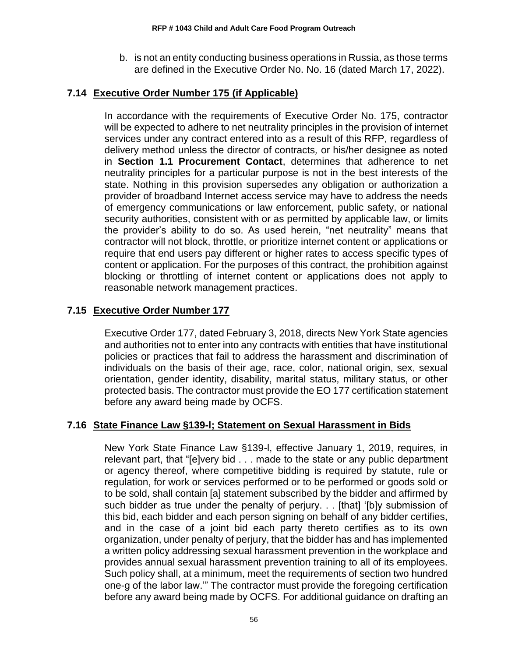b. is not an entity conducting business operations in Russia, as those terms are defined in the Executive Order No. No. 16 (dated March 17, 2022).

### <span id="page-58-0"></span>**7.14 Executive Order Number 175 (if Applicable)**

In accordance with the requirements of Executive Order No. 175, contractor will be expected to adhere to net neutrality principles in the provision of internet services under any contract entered into as a result of this RFP, regardless of delivery method unless the director of contracts*,* or his/her designee as noted in **Section 1.1 Procurement Contact**, determines that adherence to net neutrality principles for a particular purpose is not in the best interests of the state. Nothing in this provision supersedes any obligation or authorization a provider of broadband Internet access service may have to address the needs of emergency communications or law enforcement, public safety, or national security authorities, consistent with or as permitted by applicable law, or limits the provider's ability to do so. As used herein, "net neutrality" means that contractor will not block, throttle, or prioritize internet content or applications or require that end users pay different or higher rates to access specific types of content or application. For the purposes of this contract, the prohibition against blocking or throttling of internet content or applications does not apply to reasonable network management practices.

# <span id="page-58-1"></span>**7.15 Executive Order Number 177**

Executive Order 177, dated February 3, 2018, directs New York State agencies and authorities not to enter into any contracts with entities that have institutional policies or practices that fail to address the harassment and discrimination of individuals on the basis of their age, race, color, national origin, sex, sexual orientation, gender identity, disability, marital status, military status, or other protected basis. The contractor must provide the EO 177 certification statement before any award being made by OCFS.

### <span id="page-58-2"></span>**7.16 State Finance Law §139-l; Statement on Sexual Harassment in Bids**

New York State Finance Law §139-l, effective January 1, 2019, requires, in relevant part, that "[e]very bid . . . made to the state or any public department or agency thereof, where competitive bidding is required by statute, rule or regulation, for work or services performed or to be performed or goods sold or to be sold, shall contain [a] statement subscribed by the bidder and affirmed by such bidder as true under the penalty of perjury. . . [that] '[b]y submission of this bid, each bidder and each person signing on behalf of any bidder certifies, and in the case of a joint bid each party thereto certifies as to its own organization, under penalty of perjury, that the bidder has and has implemented a written policy addressing sexual harassment prevention in the workplace and provides annual sexual harassment prevention training to all of its employees. Such policy shall, at a minimum, meet the requirements of section two hundred one-g of the labor law.'" The contractor must provide the foregoing certification before any award being made by OCFS. For additional guidance on drafting an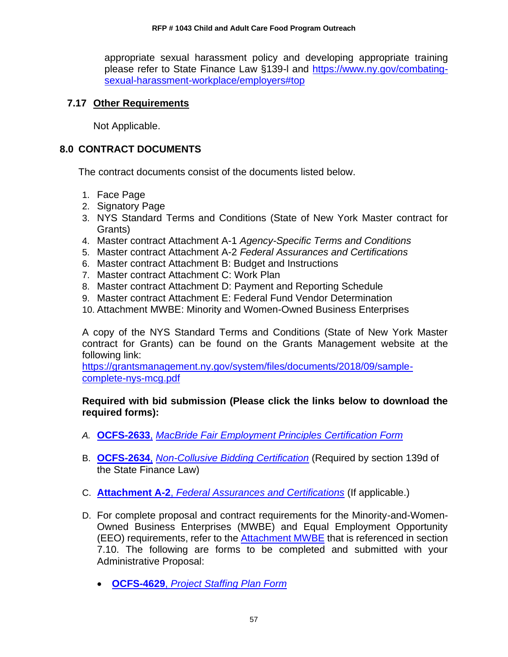appropriate sexual harassment policy and developing appropriate training please refer to State Finance Law §139-l and [https://www.ny.gov/combating](https://www.ny.gov/combating-sexual-harassment-workplace/employers#top)[sexual-harassment-workplace/employers#top](https://www.ny.gov/combating-sexual-harassment-workplace/employers#top)

### <span id="page-59-0"></span>**7.17 Other Requirements**

Not Applicable.

### <span id="page-59-1"></span>**8.0 CONTRACT DOCUMENTS**

The contract documents consist of the documents listed below.

- 1. Face Page
- 2. Signatory Page
- 3. NYS Standard Terms and Conditions (State of New York Master contract for Grants)
- 4. Master contract Attachment A-1 *Agency-Specific Terms and Conditions*
- 5. Master contract Attachment A-2 *Federal Assurances and Certifications*
- 6. Master contract Attachment B: Budget and Instructions
- 7. Master contract Attachment C: Work Plan
- 8. Master contract Attachment D: Payment and Reporting Schedule
- 9. Master contract Attachment E: Federal Fund Vendor Determination
- 10. Attachment MWBE: Minority and Women-Owned Business Enterprises

A copy of the NYS Standard Terms and Conditions (State of New York Master contract for Grants) can be found on the Grants Management website at the following link:

[https://grantsmanagement.ny.gov/system/files/documents/2018/09/sample](https://grantsmanagement.ny.gov/system/files/documents/2018/09/sample-complete-nys-mcg.pdf)[complete-nys-mcg.pdf](https://grantsmanagement.ny.gov/system/files/documents/2018/09/sample-complete-nys-mcg.pdf)

#### **Required with bid submission (Please click the links below to download the required forms):**

- *A.* **[OCFS-2633](http://ocfs.ny.gov/main/Forms/Contracts/OCFS-2633.dotx)**, *[MacBride Fair Employment Principles Certification Form](http://ocfs.ny.gov/main/Forms/Contracts/OCFS-2633.dotx)*
- B. **[OCFS-2634](http://ocfs.ny.gov/main/Forms/Contracts/OCFS-2634.dotx)**, *[Non-Collusive Bidding Certification](http://ocfs.ny.gov/main/Forms/Contracts/OCFS-2634.dotx)* (Required by section 139d of the State Finance Law)
- C. **Attachment A-2**, *[Federal Assurances and Certifications](http://ocfs.ny.gov/main/Forms/Contracts/OCFS-Attachment-A2-Federal-Assurances.pdf)* (If applicable.)
- D. For complete proposal and contract requirements for the Minority-and-Women-Owned Business Enterprises (MWBE) and Equal Employment Opportunity (EEO) requirements, refer to the [Attachment MWBE](https://ocfs.ny.gov/main/contracts/docs/mwbe/MWBE-Appendix.pdf) that is referenced in section 7.10. The following are forms to be completed and submitted with your Administrative Proposal:
	- **OCFS-4629**, *[Project Staffing Plan Form](https://ocfs.ny.gov/forms/ocfs/OCFS-4629.docx)*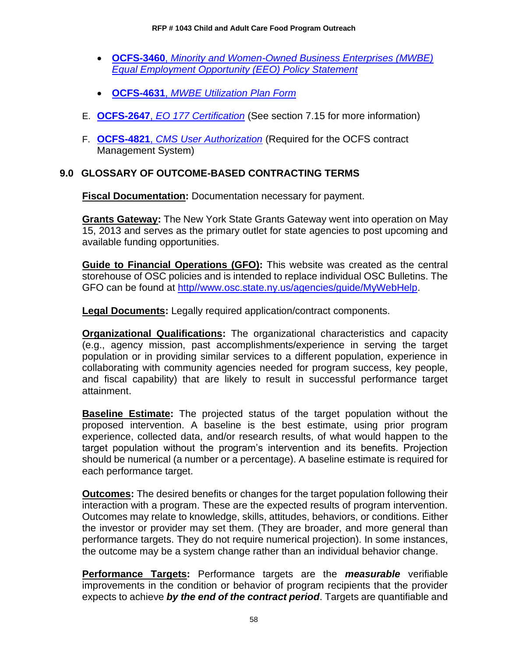- **OCFS-3460**, *[Minority and Women-Owned Business Enterprises \(MWBE\)](http://ocfs.ny.gov/main/Forms/Contracts/OCFS-3460.docx)  [Equal Employment Opportunity \(EEO\) Policy Statement](http://ocfs.ny.gov/main/Forms/Contracts/OCFS-3460.docx)*
- **OCFS-4631**, *[MWBE Utilization Plan Form](http://ocfs.ny.gov/main/Forms/Contracts/OCFS-4631%20M-WBE%20Utilization%20Plan%20Form.dot)*
- E. **OCFS-2647**, *[EO 177 Certification](https://ocfs.ny.gov/main/Forms/Contracts/OCFS-2647.docx)* (See section 7.15 for more information)
- F. **OCFS-4821**, *[CMS User Authorization](https://ocfs.ny.gov/main/Forms/Contracts/OCFS-4821%20Contract%20Management%20System%20(CMS)%20Authorization%20Form.dot)* (Required for the OCFS contract Management System)

# <span id="page-60-0"></span>**9.0 GLOSSARY OF OUTCOME-BASED CONTRACTING TERMS**

**Fiscal Documentation:** Documentation necessary for payment.

**Grants Gateway:** The New York State Grants Gateway went into operation on May 15, 2013 and serves as the primary outlet for state agencies to post upcoming and available funding opportunities.

**Guide to Financial Operations (GFO):** This website was created as the central storehouse of OSC policies and is intended to replace individual OSC Bulletins. The GFO can be found at [http//www.osc.state.ny.us/agencies/guide/MyWebHelp.](http://www.osc.state.ny.us/agencies/guide/MyWebHelp)

**Legal Documents:** Legally required application/contract components.

**Organizational Qualifications:** The organizational characteristics and capacity (e.g., agency mission, past accomplishments/experience in serving the target population or in providing similar services to a different population, experience in collaborating with community agencies needed for program success, key people, and fiscal capability) that are likely to result in successful performance target attainment.

**Baseline Estimate:** The projected status of the target population without the proposed intervention. A baseline is the best estimate, using prior program experience, collected data, and/or research results, of what would happen to the target population without the program's intervention and its benefits. Projection should be numerical (a number or a percentage). A baseline estimate is required for each performance target.

**Outcomes:** The desired benefits or changes for the target population following their interaction with a program. These are the expected results of program intervention. Outcomes may relate to knowledge, skills, attitudes, behaviors, or conditions. Either the investor or provider may set them. (They are broader, and more general than performance targets. They do not require numerical projection). In some instances, the outcome may be a system change rather than an individual behavior change.

**Performance Targets:** Performance targets are the *measurable* verifiable improvements in the condition or behavior of program recipients that the provider expects to achieve *by the end of the contract period*. Targets are quantifiable and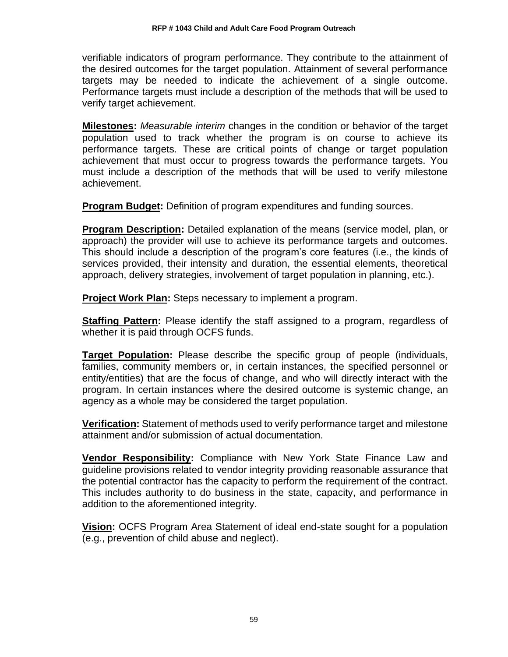verifiable indicators of program performance. They contribute to the attainment of the desired outcomes for the target population. Attainment of several performance targets may be needed to indicate the achievement of a single outcome. Performance targets must include a description of the methods that will be used to verify target achievement.

**Milestones:** *Measurable interim* changes in the condition or behavior of the target population used to track whether the program is on course to achieve its performance targets. These are critical points of change or target population achievement that must occur to progress towards the performance targets. You must include a description of the methods that will be used to verify milestone achievement.

**Program Budget:** Definition of program expenditures and funding sources.

**Program Description:** Detailed explanation of the means (service model, plan, or approach) the provider will use to achieve its performance targets and outcomes. This should include a description of the program's core features (i.e., the kinds of services provided, their intensity and duration, the essential elements, theoretical approach, delivery strategies, involvement of target population in planning, etc.).

**Project Work Plan:** Steps necessary to implement a program.

**Staffing Pattern:** Please identify the staff assigned to a program, regardless of whether it is paid through OCFS funds.

**Target Population:** Please describe the specific group of people (individuals, families, community members or, in certain instances, the specified personnel or entity/entities) that are the focus of change, and who will directly interact with the program. In certain instances where the desired outcome is systemic change, an agency as a whole may be considered the target population.

**Verification:** Statement of methods used to verify performance target and milestone attainment and/or submission of actual documentation.

**Vendor Responsibility:** Compliance with New York State Finance Law and guideline provisions related to vendor integrity providing reasonable assurance that the potential contractor has the capacity to perform the requirement of the contract. This includes authority to do business in the state, capacity, and performance in addition to the aforementioned integrity.

**Vision:** OCFS Program Area Statement of ideal end-state sought for a population (e.g., prevention of child abuse and neglect).